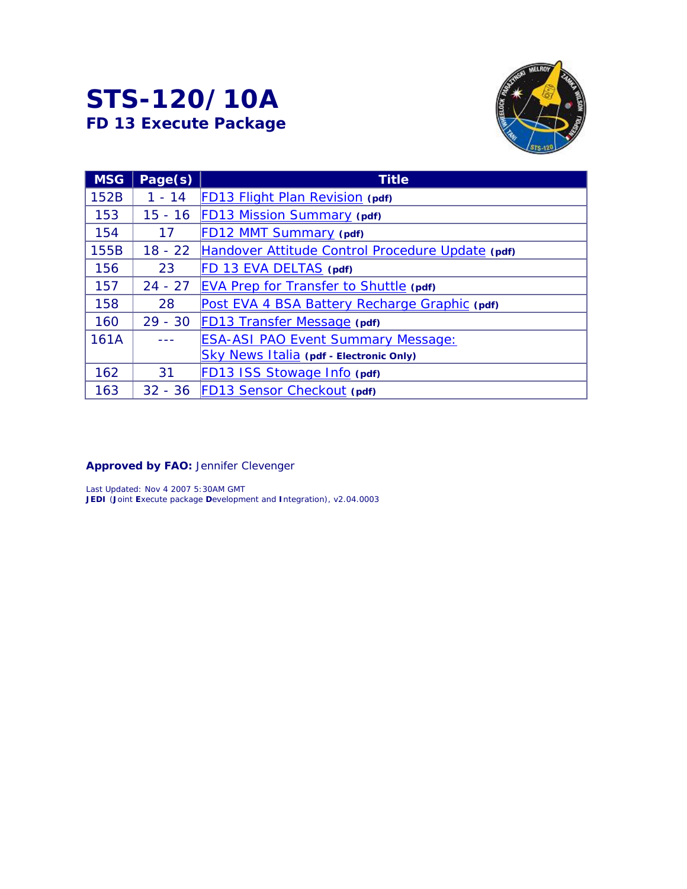# **STS-120/10A**  *FD 13 Execute Package*



| <b>MSG</b> | Page(s)   | <b>Title</b>                                     |
|------------|-----------|--------------------------------------------------|
| 152B       | $1 - 14$  | <b>FD13 Flight Plan Revision (pdf)</b>           |
| 153        | $15 - 16$ | FD13 Mission Summary (pdf)                       |
| 154        | 17        | FD12 MMT Summary (pdf)                           |
| 155B       | $18 - 22$ | Handover Attitude Control Procedure Update (pdf) |
| 156        | 23        | FD 13 EVA DELTAS (pdf)                           |
| 157        | $24 - 27$ | <b>EVA Prep for Transfer to Shuttle (pdf)</b>    |
| 158        | 28        | Post EVA 4 BSA Battery Recharge Graphic (pdf)    |
| 160        | $29 - 30$ | FD13 Transfer Message (pdf)                      |
| 161A       |           | <b>ESA-ASI PAO Event Summary Message:</b>        |
|            |           | Sky News Italia (pdf - Electronic Only)          |
| 162        | 31        | FD13 ISS Stowage Info (pdf)                      |
| 163        | $32 - 36$ | <b>FD13 Sensor Checkout (pdf)</b>                |

*Approved by FAO: Jennifer Clevenger* 

*Last Updated: Nov 4 2007 5:30AM GMT JEDI (Joint Execute package Development and Integration), v2.04.0003*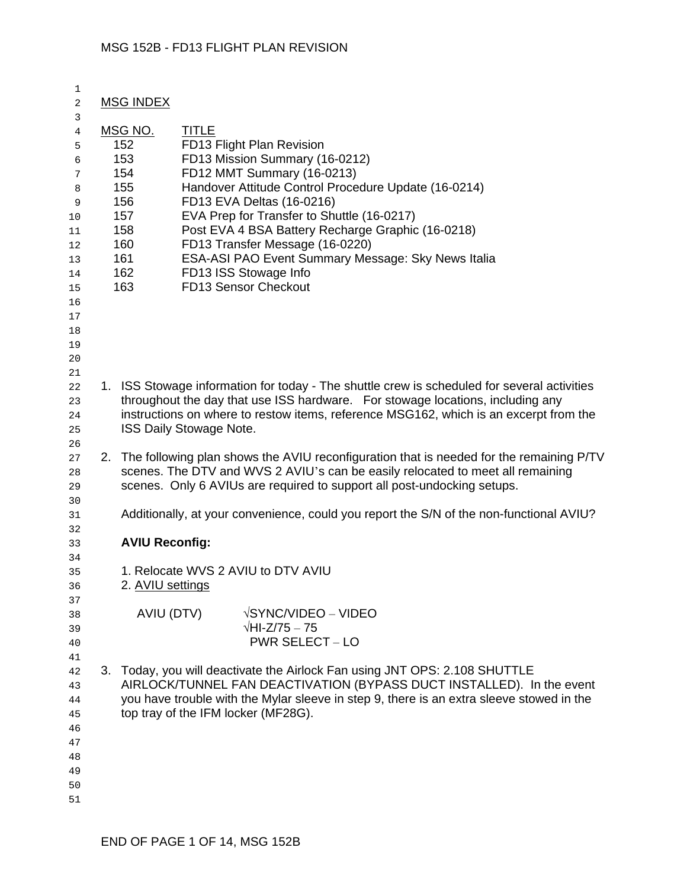| 1<br>2         | <b>MSG INDEX</b>      |                                                                                                                                                           |
|----------------|-----------------------|-----------------------------------------------------------------------------------------------------------------------------------------------------------|
| 3              |                       |                                                                                                                                                           |
| $\overline{4}$ | MSG NO.<br>152        | <b>TITLE</b><br>FD13 Flight Plan Revision                                                                                                                 |
| 5              | 153                   | FD13 Mission Summary (16-0212)                                                                                                                            |
| 6              | 154                   | FD12 MMT Summary (16-0213)                                                                                                                                |
| 7              | 155                   | Handover Attitude Control Procedure Update (16-0214)                                                                                                      |
| 8<br>9         | 156                   | FD13 EVA Deltas (16-0216)                                                                                                                                 |
| 10             | 157                   | EVA Prep for Transfer to Shuttle (16-0217)                                                                                                                |
| 11             | 158                   | Post EVA 4 BSA Battery Recharge Graphic (16-0218)                                                                                                         |
| 12             | 160                   | FD13 Transfer Message (16-0220)                                                                                                                           |
| 13             | 161                   | ESA-ASI PAO Event Summary Message: Sky News Italia                                                                                                        |
| 14             | 162                   | FD13 ISS Stowage Info                                                                                                                                     |
| 15             | 163                   | <b>FD13 Sensor Checkout</b>                                                                                                                               |
| 16             |                       |                                                                                                                                                           |
| 17             |                       |                                                                                                                                                           |
| 18             |                       |                                                                                                                                                           |
| 19             |                       |                                                                                                                                                           |
| 20             |                       |                                                                                                                                                           |
| 21             |                       |                                                                                                                                                           |
| 22             |                       | 1. ISS Stowage information for today - The shuttle crew is scheduled for several activities                                                               |
| 23             |                       | throughout the day that use ISS hardware. For stowage locations, including any                                                                            |
| 24             |                       | instructions on where to restow items, reference MSG162, which is an excerpt from the                                                                     |
| 25             |                       | ISS Daily Stowage Note.                                                                                                                                   |
| 26             |                       |                                                                                                                                                           |
| 27             |                       | 2. The following plan shows the AVIU reconfiguration that is needed for the remaining P/TV                                                                |
| 28             |                       | scenes. The DTV and WVS 2 AVIU's can be easily relocated to meet all remaining<br>scenes. Only 6 AVIUs are required to support all post-undocking setups. |
| 29<br>30       |                       |                                                                                                                                                           |
| 31             |                       | Additionally, at your convenience, could you report the S/N of the non-functional AVIU?                                                                   |
| 32             |                       |                                                                                                                                                           |
| 33             | <b>AVIU Reconfig:</b> |                                                                                                                                                           |
| 34             |                       |                                                                                                                                                           |
| 35             |                       | 1. Relocate WVS 2 AVIU to DTV AVIU                                                                                                                        |
| 36             | 2. AVIU settings      |                                                                                                                                                           |
| 37             |                       |                                                                                                                                                           |
| 38             | AVIU (DTV)            | $\sqrt{SYNC/UDEO} - \sqrt{UDEO}$                                                                                                                          |
| 39             |                       | $\sqrt{\text{HI-Z}}/75-75$                                                                                                                                |
| 40             |                       | <b>PWR SELECT - LO</b>                                                                                                                                    |
| 41             |                       |                                                                                                                                                           |
| 42             |                       | 3. Today, you will deactivate the Airlock Fan using JNT OPS: 2.108 SHUTTLE                                                                                |
| 43             |                       | AIRLOCK/TUNNEL FAN DEACTIVATION (BYPASS DUCT INSTALLED). In the event                                                                                     |
| 44             |                       | you have trouble with the Mylar sleeve in step 9, there is an extra sleeve stowed in the                                                                  |
| 45             |                       | top tray of the IFM locker (MF28G).                                                                                                                       |
| 46             |                       |                                                                                                                                                           |
| 47<br>48       |                       |                                                                                                                                                           |
| 49             |                       |                                                                                                                                                           |
| 50             |                       |                                                                                                                                                           |
| 51             |                       |                                                                                                                                                           |
|                |                       |                                                                                                                                                           |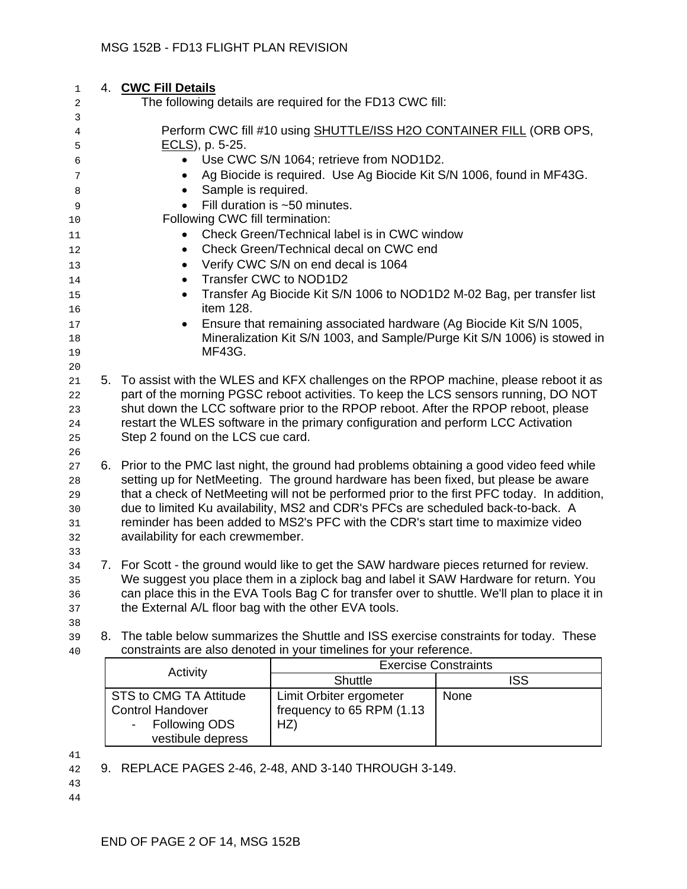| 1<br>2                           | 4. CWC Fill Details<br>The following details are required for the FD13 CWC fill:                                                                                                                                                         |                                                                                                                                                                                                                                                                                                                                                         |                                                                                                                                                                               |  |  |  |  |  |  |  |
|----------------------------------|------------------------------------------------------------------------------------------------------------------------------------------------------------------------------------------------------------------------------------------|---------------------------------------------------------------------------------------------------------------------------------------------------------------------------------------------------------------------------------------------------------------------------------------------------------------------------------------------------------|-------------------------------------------------------------------------------------------------------------------------------------------------------------------------------|--|--|--|--|--|--|--|
| 3<br>4                           |                                                                                                                                                                                                                                          | Perform CWC fill #10 using SHUTTLE/ISS H2O CONTAINER FILL (ORB OPS,                                                                                                                                                                                                                                                                                     |                                                                                                                                                                               |  |  |  |  |  |  |  |
| 5<br>6<br>7<br>8                 | $ECLS$ , p. 5-25.<br>Use CWC S/N 1064; retrieve from NOD1D2.<br>$\bullet$<br>Ag Biocide is required. Use Ag Biocide Kit S/N 1006, found in MF43G.<br>Sample is required.<br>$\bullet$                                                    |                                                                                                                                                                                                                                                                                                                                                         |                                                                                                                                                                               |  |  |  |  |  |  |  |
| 9<br>10<br>11<br>12<br>13        | Fill duration is ~50 minutes.<br>Following CWC fill termination:<br>Check Green/Technical label is in CWC window<br>$\bullet$<br>Check Green/Technical decal on CWC end<br>$\bullet$<br>Verify CWC S/N on end decal is 1064<br>$\bullet$ |                                                                                                                                                                                                                                                                                                                                                         |                                                                                                                                                                               |  |  |  |  |  |  |  |
| 14<br>15<br>16                   | $\bullet$<br>$\bullet$<br>item 128.                                                                                                                                                                                                      | Transfer CWC to NOD1D2<br>Transfer Ag Biocide Kit S/N 1006 to NOD1D2 M-02 Bag, per transfer list                                                                                                                                                                                                                                                        |                                                                                                                                                                               |  |  |  |  |  |  |  |
| 17<br>18<br>19<br>20             | ٠<br>MF43G.                                                                                                                                                                                                                              | Ensure that remaining associated hardware (Ag Biocide Kit S/N 1005,                                                                                                                                                                                                                                                                                     | Mineralization Kit S/N 1003, and Sample/Purge Kit S/N 1006) is stowed in                                                                                                      |  |  |  |  |  |  |  |
| 21<br>22<br>23<br>24<br>25<br>26 | Step 2 found on the LCS cue card.                                                                                                                                                                                                        | shut down the LCC software prior to the RPOP reboot. After the RPOP reboot, please<br>restart the WLES software in the primary configuration and perform LCC Activation                                                                                                                                                                                 | 5. To assist with the WLES and KFX challenges on the RPOP machine, please reboot it as<br>part of the morning PGSC reboot activities. To keep the LCS sensors running, DO NOT |  |  |  |  |  |  |  |
| 27<br>28<br>29<br>30<br>31<br>32 | availability for each crewmember.                                                                                                                                                                                                        | 6. Prior to the PMC last night, the ground had problems obtaining a good video feed while<br>setting up for NetMeeting. The ground hardware has been fixed, but please be aware<br>due to limited Ku availability, MS2 and CDR's PFCs are scheduled back-to-back. A<br>reminder has been added to MS2's PFC with the CDR's start time to maximize video | that a check of NetMeeting will not be performed prior to the first PFC today. In addition,                                                                                   |  |  |  |  |  |  |  |
| 33<br>34<br>35<br>36<br>37       | the External A/L floor bag with the other EVA tools.                                                                                                                                                                                     | 7. For Scott - the ground would like to get the SAW hardware pieces returned for review.<br>We suggest you place them in a ziplock bag and label it SAW Hardware for return. You                                                                                                                                                                        | can place this in the EVA Tools Bag C for transfer over to shuttle. We'll plan to place it in                                                                                 |  |  |  |  |  |  |  |
| 38<br>39<br>40                   |                                                                                                                                                                                                                                          | 8. The table below summarizes the Shuttle and ISS exercise constraints for today. These<br>constraints are also denoted in your timelines for your reference.                                                                                                                                                                                           |                                                                                                                                                                               |  |  |  |  |  |  |  |
|                                  | Activity                                                                                                                                                                                                                                 | Shuttle                                                                                                                                                                                                                                                                                                                                                 | <b>Exercise Constraints</b><br><b>ISS</b>                                                                                                                                     |  |  |  |  |  |  |  |
|                                  | <b>STS to CMG TA Attitude</b><br><b>Control Handover</b><br><b>Following ODS</b><br>vestibule depress                                                                                                                                    | Limit Orbiter ergometer<br>frequency to 65 RPM (1.13<br>HZ)                                                                                                                                                                                                                                                                                             | None                                                                                                                                                                          |  |  |  |  |  |  |  |

41

42 9. REPLACE PAGES 2-46, 2-48, AND 3-140 THROUGH 3-149.

43 44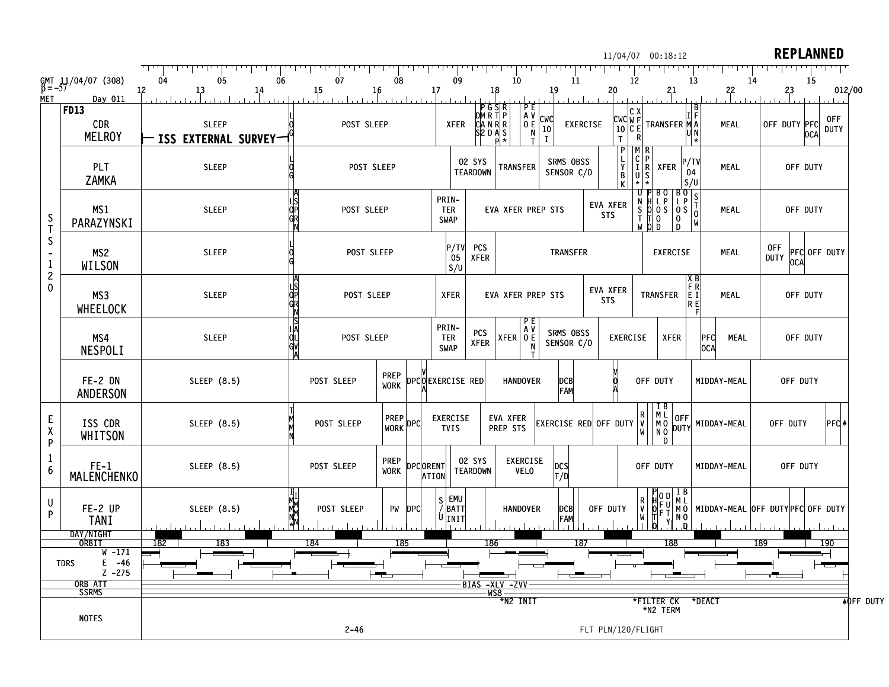| 05<br>06<br>07<br>08<br>09<br>GMT 11/04/07 (308)<br>$\beta = -57$<br>04<br>10<br>11<br>13<br>12<br>14<br>12<br>1,3<br>14<br>15<br>16<br>17<br>18<br>1,9<br>2,0<br>2,1<br>22<br><b>MET</b><br>Day 011<br>$P$ G $S$ R<br>P E<br> FD13<br>IC X<br>DMRTP<br>CANRR<br>S2DAS<br>$\begin{bmatrix} A & V & C & W & C \\ 0 & E & 10 & 0 \\ N & N & I & I \end{bmatrix}$<br>$\begin{bmatrix} CWC \widetilde{W} & \widehat{F} \\ 10 & C & E \end{bmatrix}$ TRANSFER $\begin{bmatrix} 1 \\ M & A \end{bmatrix}$<br><b>CDR</b><br><b>SLEEP</b><br>POST SLEEP<br>XFER<br><b>EXERCISE</b><br>MEAL<br><b>MELROY</b><br><b>-ISS EXTERNAL SURVEY-</b><br>$\mathsf T$<br>$\bf{I}$<br>п | 15<br>012/00<br>2,3<br>0FF<br>OFF DUTY PFC<br>OCA<br><b>DUTY</b> |
|---------------------------------------------------------------------------------------------------------------------------------------------------------------------------------------------------------------------------------------------------------------------------------------------------------------------------------------------------------------------------------------------------------------------------------------------------------------------------------------------------------------------------------------------------------------------------------------------------------------------------------------------------------------------|------------------------------------------------------------------|
|                                                                                                                                                                                                                                                                                                                                                                                                                                                                                                                                                                                                                                                                     |                                                                  |
|                                                                                                                                                                                                                                                                                                                                                                                                                                                                                                                                                                                                                                                                     |                                                                  |
|                                                                                                                                                                                                                                                                                                                                                                                                                                                                                                                                                                                                                                                                     |                                                                  |
| $\begin{bmatrix} C \\ I \\ R \end{bmatrix}$ XFER $\begin{bmatrix} P/TV \\ 0.4 \end{bmatrix}$<br>$\begin{array}{c} L \\ Y \\ B \\ K \end{array}$<br>SRMS OBSS<br>02 SYS<br>PLT<br><b>TRANSFER</b><br><b>SLEEP</b><br>POST SLEEP<br>MEAL<br><b>TEARDOWN</b><br>SENSOR C/O<br>04<br><b>ZAMKA</b><br>S/U                                                                                                                                                                                                                                                                                                                                                                | OFF DUTY                                                         |
| $\begin{array}{c c c c c} \text{U} & \text{P} & \text{BO} & \text{B} & \text{O} \\ \text{N} & \text{H} & \text{L} & \text{P} & \text{C} \\ \text{S} & \text{O} & \text{O} & \text{S} & \text{S} & \text{T} \\ \text{S} & \text{O} & \text{O} & \text{S} & \text{O} & \text{O} \\ \text{T} & \text{T} & \text{O} & \text{O} & \text{D} & \text{M} \\ \text{W} & \text{O} & \text{D} & \text{D} & \text{M} \end{array}$<br>PRIN-<br>ЦS<br>OP<br><b>EVA XFER</b><br>MS <sub>1</sub><br><b>SLEEP</b><br>POST SLEEP<br><b>EVA XFER PREP STS</b><br><b>TER</b><br><b>MEAL</b><br><b>STS</b><br>$\frac{S}{I}$<br><b>SWAP</b><br>PARAZYNSKI                                 | OFF DUTY                                                         |
| S<br>P/TV<br><b>PCS</b><br>0FF<br>MS <sub>2</sub><br><b>SLEEP</b><br>POST SLEEP<br>TRANSFER<br><b>MEAL</b><br><b>EXERCISE</b><br><b>DUTY</b><br><b>XFER</b><br>05<br>1<br><b>WILSON</b><br>S/U                                                                                                                                                                                                                                                                                                                                                                                                                                                                      | PFC OFF DUTY<br>OCA                                              |
| $\overline{\mathbf{c}}$<br>$\begin{array}{c}\nX & B \\ F & R \\ E & I \\ R & E\n\end{array}$<br>0<br>LIS<br>OP<br>GR<br><b>EVA XFER</b><br>MS3<br><b>SLEEP</b><br>TRANSFER<br>POST SLEEP<br><b>XFER</b><br><b>EVA XFER PREP STS</b><br>MEAL<br><b>STS</b><br>WHEELOCK                                                                                                                                                                                                                                                                                                                                                                                               | OFF DUTY                                                         |
| PRIN-<br>A V<br>SRMS OBSS<br><b>PCS</b><br>ă<br>$XFER$ $0E$<br>MS4<br><b>SLEEP</b><br>POST SLEEP<br><b>TER</b><br><b>EXERCISE</b><br><b>XFER</b><br>PFC<br><b>MEAL</b><br><b>XFER</b><br>SENSOR C/O<br>SWAP<br>N<br>OCA<br><b>NESPOLI</b>                                                                                                                                                                                                                                                                                                                                                                                                                           | OFF DUTY                                                         |
| <b>PREP</b><br>FE-2 DN<br>SLEEP (8.5)<br>DPCOEXERCISE RED<br>POST SLEEP<br><b>HANDOVER</b><br>OFF DUTY<br>MIDDAY-MEAL<br>DCB<br>FAM<br><b>WORK</b><br><b>ANDERSON</b>                                                                                                                                                                                                                                                                                                                                                                                                                                                                                               | OFF DUTY                                                         |
| $\begin{array}{ c c } \hline I & B \\ M & L \\ M & 0 \\ N & 0 \\ \hline \end{array}$<br>$\begin{bmatrix} R \\ V \\ W \end{bmatrix}$<br>PREP DPC<br>EVA XFER<br>OFF<br>DUTY<br><b>EXERCISE</b><br>E<br>ISS CDR<br>SLEEP (8.5)<br>POST SLEEP<br>EXERCISE RED OFF DUTY<br>MIDDAY-MEAL<br>PREP STS<br><b>TVIS</b><br>χ<br>WHITSON<br>$\overline{D}$<br>P                                                                                                                                                                                                                                                                                                                | PFC <br>OFF DUTY                                                 |
| 02 SYS<br>EXERCISE<br><b>PREP</b><br>$FE-1$<br>SLEEP (8.5)<br>DPCORENT<br>POST SLEEP<br>OFF DUTY<br>pcs<br>MIDDAY-MEAL<br>6<br><b>WORK</b><br><b>TEARDOWN</b><br><b>VELO</b><br><b>MALENCHENKO</b><br>T/D<br><b>ATION</b>                                                                                                                                                                                                                                                                                                                                                                                                                                           | OFF DUTY                                                         |
| PODIB<br>UFUML<br>OFUMO MIDDAY-MEAL OFF DUTYPFC OFF DUTY<br>IFT YNO<br>S EMU<br>R<br>V<br>U<br>$\bar{}/$ BATT<br>FE-2 UP<br>SLEEP (8.5)<br>PW <b>DPC</b><br>OFF DUTY<br>POST SLEEP<br><b>HANDOVER</b><br> DCB <br>P<br> U INIT'<br>FAM<br><b>TANI</b>                                                                                                                                                                                                                                                                                                                                                                                                               |                                                                  |
| DAY/NIGHT<br>ORBIT<br>182<br>183<br>184<br>185<br>187<br>188<br>189<br>186                                                                                                                                                                                                                                                                                                                                                                                                                                                                                                                                                                                          | 190                                                              |
| $W - 171$<br>$E - 46$<br><b>TDRS</b><br>$Z - 275$<br>╼                                                                                                                                                                                                                                                                                                                                                                                                                                                                                                                                                                                                              |                                                                  |
| $\frac{\overline{BIAS - XLV - ZVV -}}{\text{WS8} - \text{N2 INT}}$<br>ORB ATT<br>SSRMS                                                                                                                                                                                                                                                                                                                                                                                                                                                                                                                                                                              |                                                                  |
| *DEACT<br>*FILTER CK<br>*N2 TERM<br><b>NOTES</b><br>$2 - 46$<br>FLT PLN/120/FLIGHT                                                                                                                                                                                                                                                                                                                                                                                                                                                                                                                                                                                  | <b>AOFF DUTY</b>                                                 |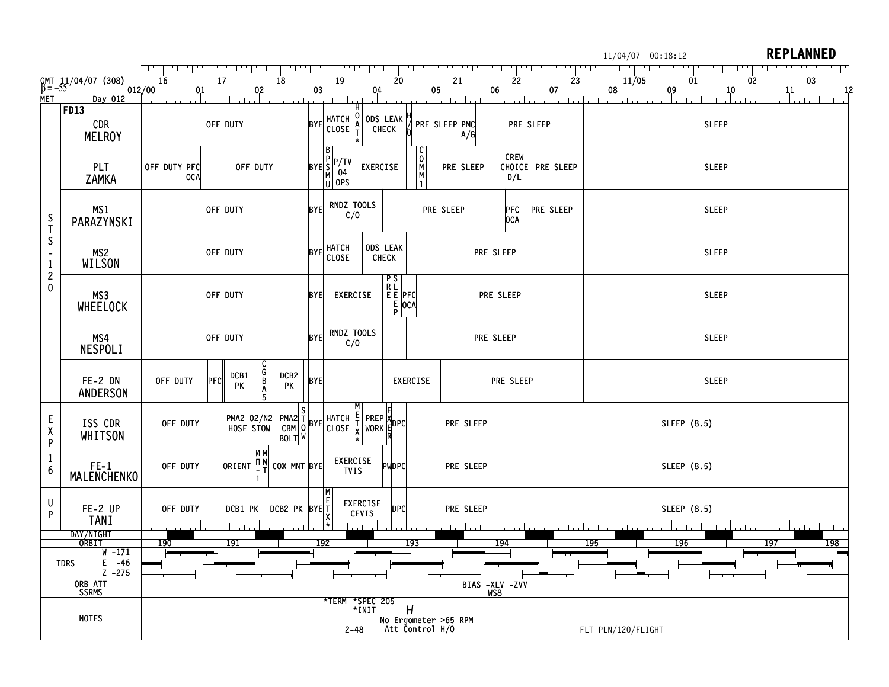|                                                                                       |                                                                                          |                     |                                                                       |                |                                                                                                                                                                                                                                               |                   |                                     |                      |                                     |                | 11/04/07 00:18:12  |              | <b>REPLANNED</b> |
|---------------------------------------------------------------------------------------|------------------------------------------------------------------------------------------|---------------------|-----------------------------------------------------------------------|----------------|-----------------------------------------------------------------------------------------------------------------------------------------------------------------------------------------------------------------------------------------------|-------------------|-------------------------------------|----------------------|-------------------------------------|----------------|--------------------|--------------|------------------|
|                                                                                       | $\begin{array}{cc} \text{GMT} & 11/04/07 & (308) \\ \text{B} = -55 & 012/00 \end{array}$ | 16                  | 18<br>17                                                              |                | 19                                                                                                                                                                                                                                            |                   | 20                                  | 21                   | 22                                  | 23             | 11/05              | 01<br>02     | 03               |
| <b>MET</b>                                                                            | Day 012                                                                                  | 0,1                 | 0 <sub>2</sub>                                                        | 0 <sub>1</sub> |                                                                                                                                                                                                                                               | 0,4               |                                     | 0 <sub>j</sub> 5     | 06                                  | 0 <sub>1</sub> | 0,8                | 0,9<br>10    | $\frac{11}{11}$  |
|                                                                                       | FD13<br>CDR<br><b>MELROY</b>                                                             | OFF DUTY            |                                                                       |                | HATCH   0<br>  CLOSE   <del>A</del>                                                                                                                                                                                                           | ODS LEAK          |                                     | PRE SLEEP PMC<br>A/G |                                     | PRE SLEEP      | <b>SLEEP</b>       |              |                  |
|                                                                                       | PLT<br>ZAMKA                                                                             | OFF DUTY PFC<br>OCA | OFF DUTY                                                              |                | $BYE \begin{bmatrix} B \\ P \\ S \\ M \\ M \end{bmatrix} \begin{bmatrix} TW \\ 04 \\ 04 \\ U \end{bmatrix}$                                                                                                                                   | EXERCISE          | M<br>M                              | PRE SLEEP            | <b>CREW</b><br><b>CHOICE</b><br>D/L | PRE SLEEP      |                    | <b>SLEEP</b> |                  |
| $\frac{S}{I}$<br>$\mathsf{S}$<br>$\mathbf{1}$<br>$\overline{\mathbf{c}}$<br>$\pmb{0}$ | MS <sub>1</sub><br>PARAZYNSKI                                                            | OFF DUTY            |                                                                       |                | RNDZ TOOLS<br><b>BYE</b><br>C/O                                                                                                                                                                                                               |                   |                                     | PRE SLEEP            | PFC<br>OCA                          | PRE SLEEP      |                    | <b>SLEEP</b> |                  |
|                                                                                       | MS2<br><b>WILSON</b>                                                                     | OFF DUTY            |                                                                       |                | HATCH<br>CLOSE<br><b>BYE</b>                                                                                                                                                                                                                  | ODS LEAK<br>CHECK |                                     |                      | PRE SLEEP                           |                |                    | <b>SLEEP</b> |                  |
|                                                                                       | MS3<br>WHEELOCK                                                                          | OFF DUTY            |                                                                       |                | <b>BYE</b><br>EXERCISE                                                                                                                                                                                                                        | $P_S$<br>RL       | $E \bar{E}$  PFC <br>$E$ ocal<br>ΡI |                      | PRE SLEEP                           |                |                    | <b>SLEEP</b> |                  |
|                                                                                       | MS4<br><b>NESPOLI</b>                                                                    | OFF DUTY            |                                                                       |                | RNDZ TOOLS<br><b>BYE</b><br>C/O                                                                                                                                                                                                               |                   |                                     |                      | PRE SLEEP                           |                |                    | <b>SLEEP</b> |                  |
|                                                                                       | FE-2 DN<br>ANDERSON                                                                      | OFF DUTY<br>PFC     | ር<br>B<br>DCB1<br>DCB2<br>PK<br>PK<br>A                               | <b>BYE</b>     |                                                                                                                                                                                                                                               |                   | EXERCISE                            |                      | PRE SLEEP                           |                |                    | <b>SLEEP</b> |                  |
| $\frac{\mathsf{E}}{\mathsf{X}}$<br>P                                                  | ISS CDR<br>WHITSON                                                                       | OFF DUTY            | PMA2 02/N2<br>HOSE STOW<br><b>BOLT W</b>                              |                | $\begin{bmatrix}$ PMA2 $\frac{3}{1}$ BYE HATCH $\begin{bmatrix} 1 \\ 1 \\ 2 \end{bmatrix}$ PREP $\begin{bmatrix} 2 \\ 3 \\ 4 \end{bmatrix}$ PORK $\begin{bmatrix} 5 \\ 5 \\ 5 \end{bmatrix}$ PORK $\begin{bmatrix} 6 \\ 1 \\ 5 \end{bmatrix}$ |                   |                                     | PRE SLEEP            |                                     |                |                    | SLEEP (8.5)  |                  |
| 1<br>6                                                                                | $FE-1$<br><b>MALENCHENKO</b>                                                             | OFF DUTY            | N M<br>ORIENT $\begin{bmatrix} 0 & N \\ -T \end{bmatrix}$ COX MNT BYE |                | EXERCISE<br><b>TVIS</b>                                                                                                                                                                                                                       | <b>PWDPC</b>      |                                     | PRE SLEEP            |                                     |                |                    | SLEEP (8.5)  |                  |
| U<br>P                                                                                | FE-2 UP<br><b>TANI</b>                                                                   | OFF DUTY            | DCB2 PK BYE T<br>DCB1 PK                                              |                | CEVIS                                                                                                                                                                                                                                         | EXERCISE          | <b>DPC</b>                          | PRE SLEEP            |                                     |                |                    | SLEEP (8.5)  |                  |
|                                                                                       | DAY/NIGHT<br>ORBIT<br>W -171                                                             | 190                 | <u> 191</u>                                                           |                | 192                                                                                                                                                                                                                                           |                   | 193                                 |                      | 194                                 |                | 195                | 196          | 198<br>197       |
|                                                                                       | $E - 46$<br><b>TDRS</b><br>$Z - 275$                                                     |                     |                                                                       |                |                                                                                                                                                                                                                                               |                   |                                     |                      |                                     |                |                    |              |                  |
|                                                                                       | ORB ATT<br>SSRMS                                                                         |                     |                                                                       |                | *TERM *SPEC 205                                                                                                                                                                                                                               |                   |                                     |                      |                                     |                |                    |              |                  |
| <b>NOTES</b>                                                                          |                                                                                          |                     |                                                                       |                | $2 - 48$                                                                                                                                                                                                                                      | $*$ INIT          | H<br>Att Control H/O                | No Ergometer >65 RPM |                                     |                | FLT PLN/120/FLIGHT |              |                  |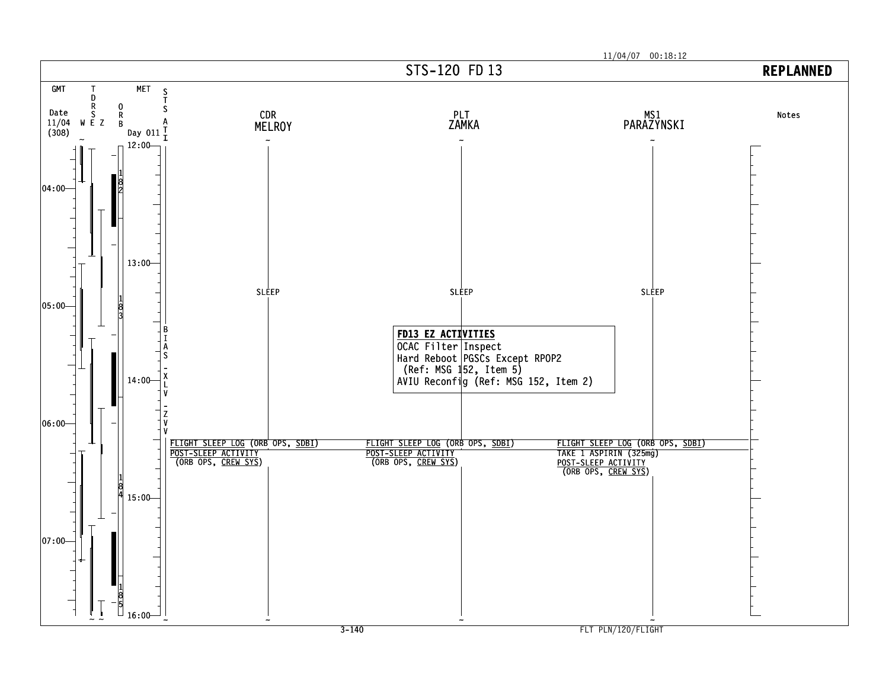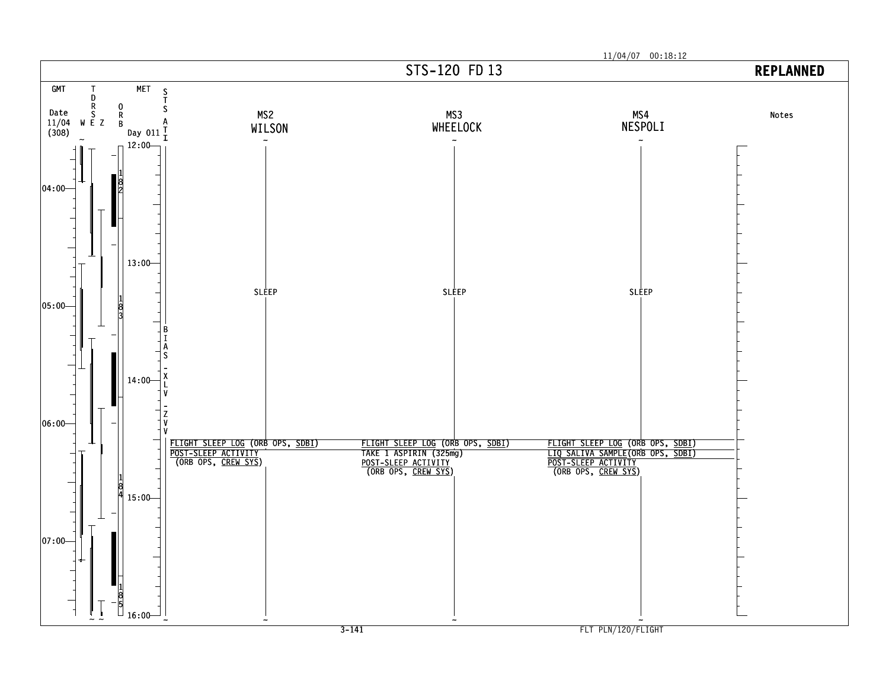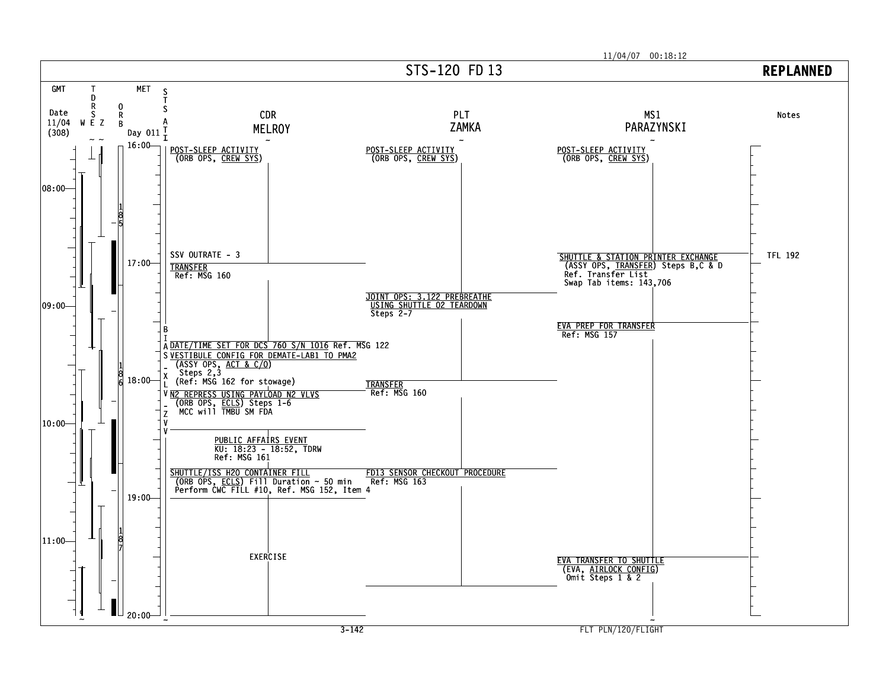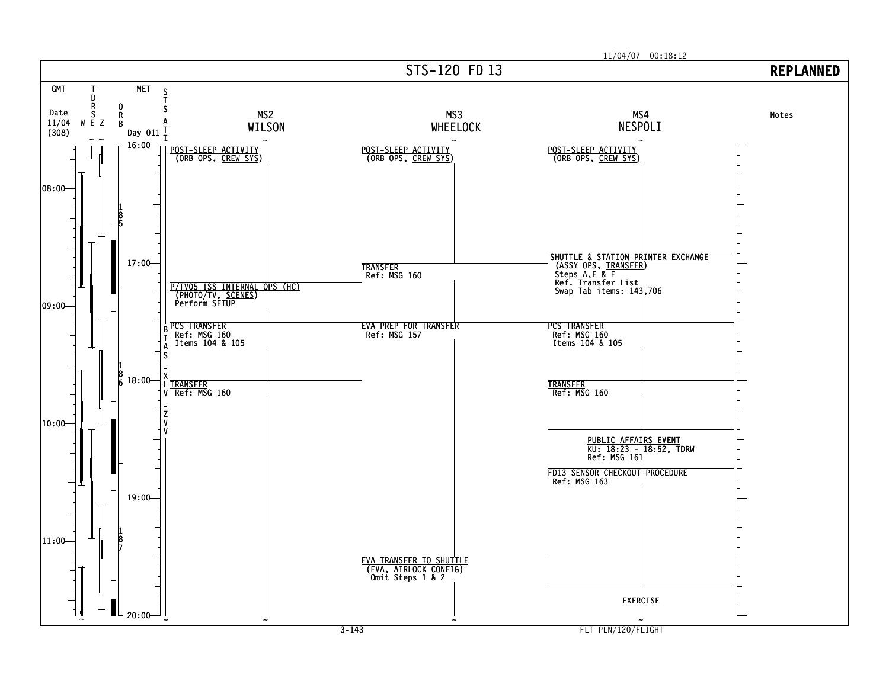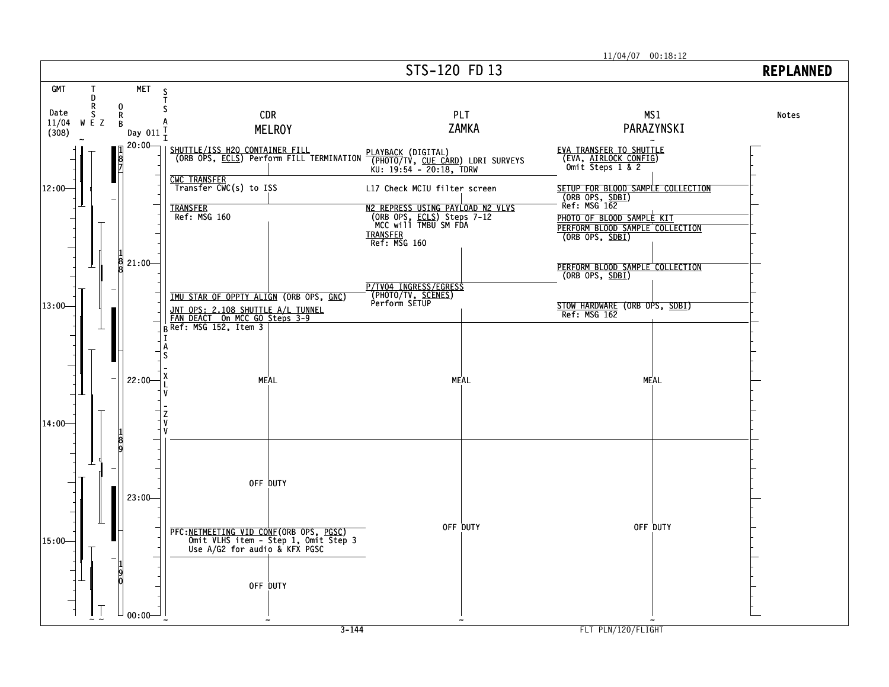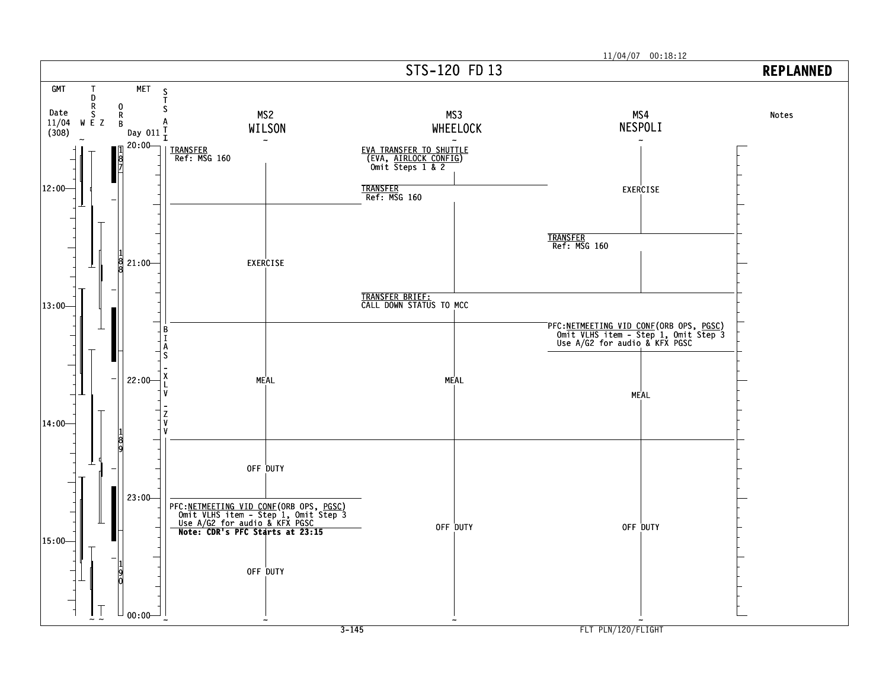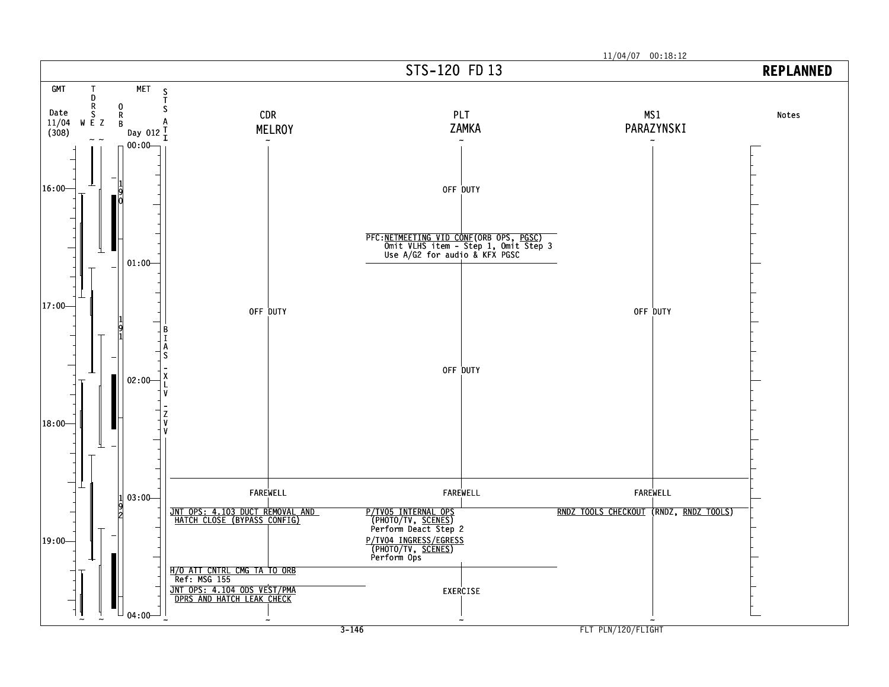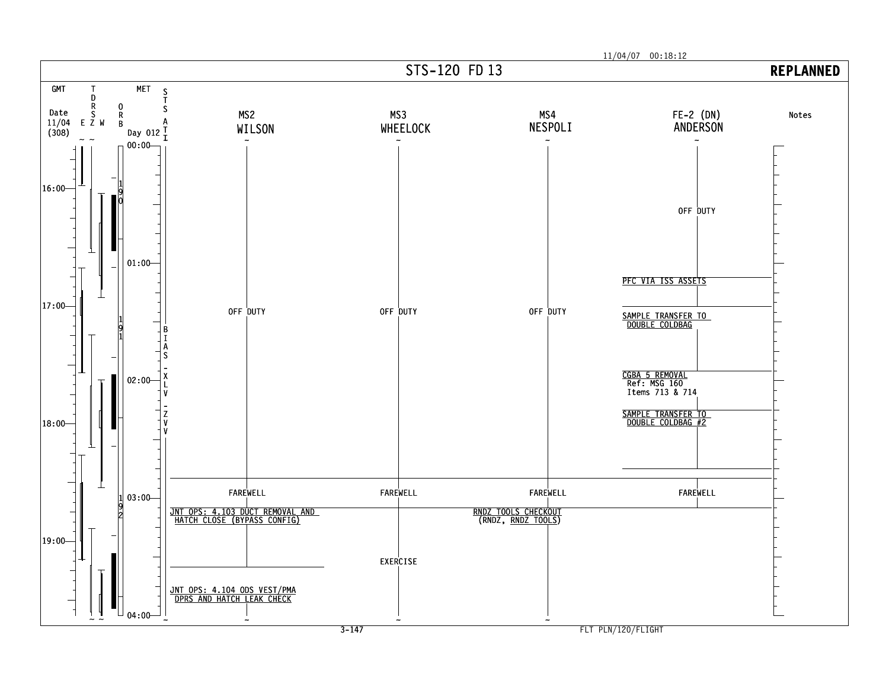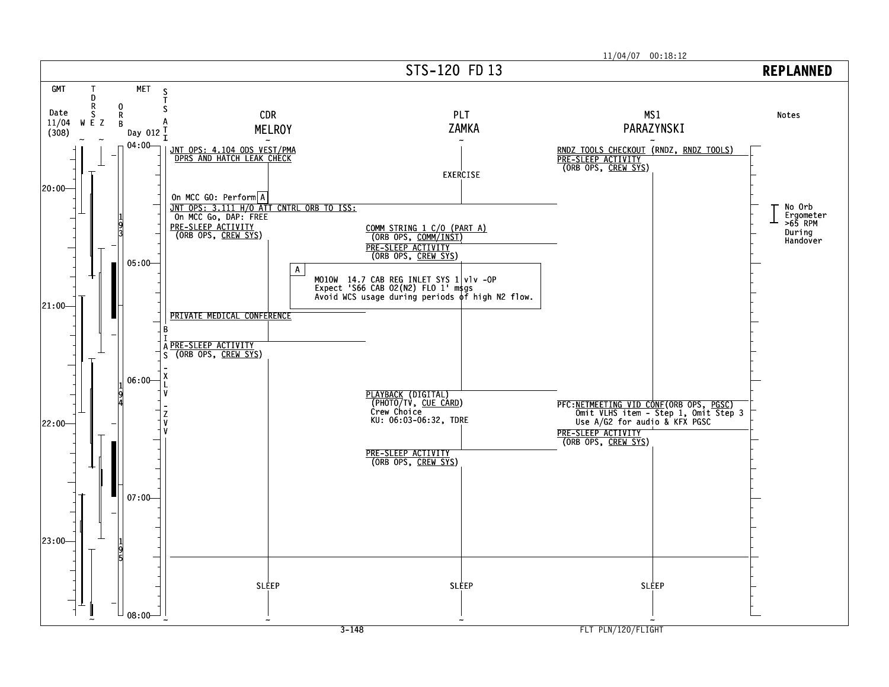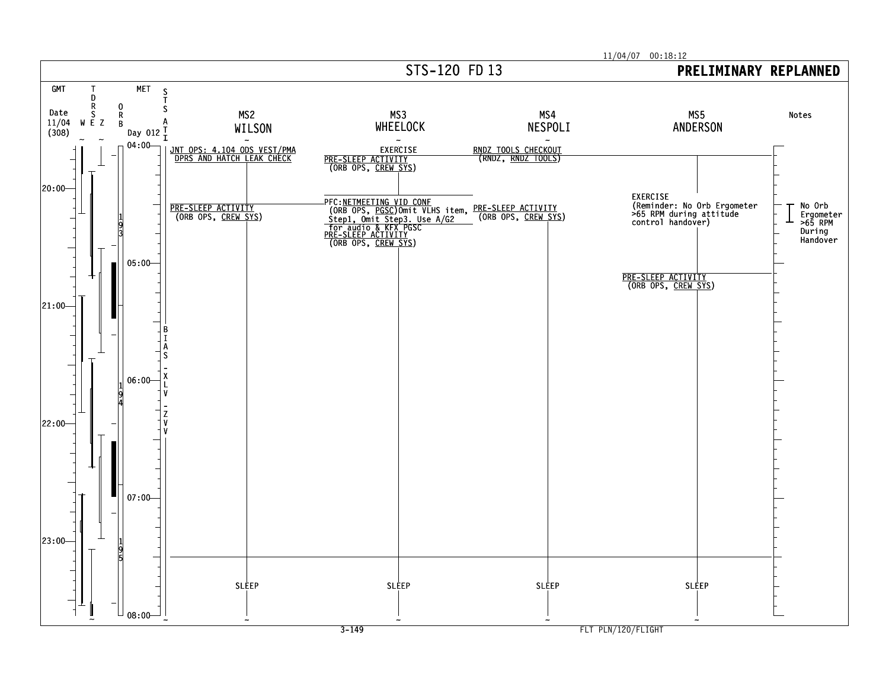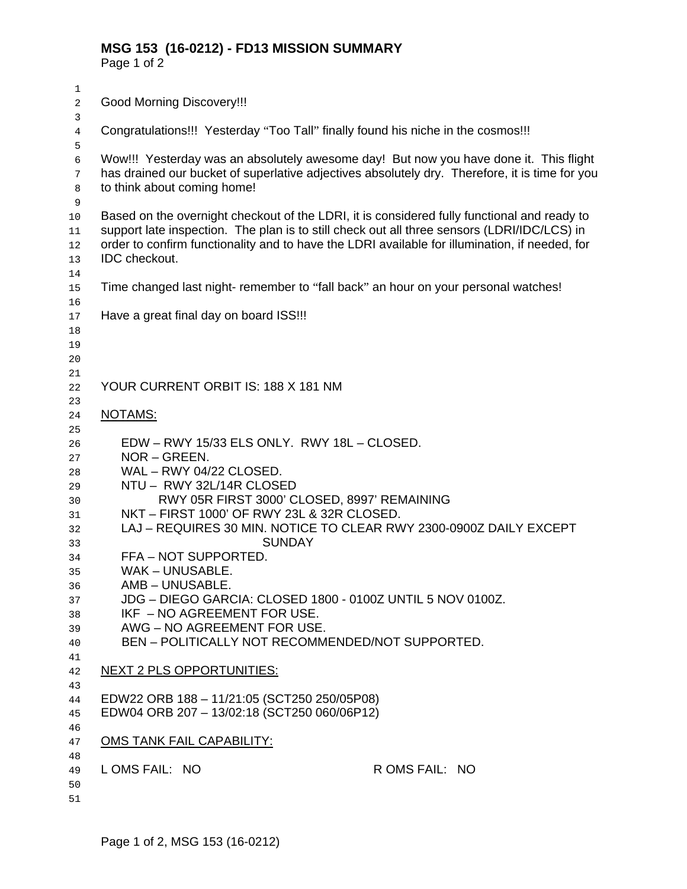Page 1 of 2

| $1\,$<br>$\boldsymbol{2}$                                                                                | <b>Good Morning Discovery!!!</b>                                                                                                                                                                                                                                                                                                                                                                                                                                                                                                                                                      |
|----------------------------------------------------------------------------------------------------------|---------------------------------------------------------------------------------------------------------------------------------------------------------------------------------------------------------------------------------------------------------------------------------------------------------------------------------------------------------------------------------------------------------------------------------------------------------------------------------------------------------------------------------------------------------------------------------------|
| 3                                                                                                        |                                                                                                                                                                                                                                                                                                                                                                                                                                                                                                                                                                                       |
| 4                                                                                                        | Congratulations!!! Yesterday "Too Tall" finally found his niche in the cosmos!!!                                                                                                                                                                                                                                                                                                                                                                                                                                                                                                      |
| 5<br>6<br>7<br>8<br>$\mathsf 9$                                                                          | Wow!!! Yesterday was an absolutely awesome day! But now you have done it. This flight<br>has drained our bucket of superlative adjectives absolutely dry. Therefore, it is time for you<br>to think about coming home!                                                                                                                                                                                                                                                                                                                                                                |
| 10<br>11<br>12<br>13<br>14                                                                               | Based on the overnight checkout of the LDRI, it is considered fully functional and ready to<br>support late inspection. The plan is to still check out all three sensors (LDRI/IDC/LCS) in<br>order to confirm functionality and to have the LDRI available for illumination, if needed, for<br>IDC checkout.                                                                                                                                                                                                                                                                         |
| 15                                                                                                       | Time changed last night- remember to "fall back" an hour on your personal watches!                                                                                                                                                                                                                                                                                                                                                                                                                                                                                                    |
| 16<br>17<br>18<br>19<br>20                                                                               | Have a great final day on board ISS !!!                                                                                                                                                                                                                                                                                                                                                                                                                                                                                                                                               |
| 21<br>22                                                                                                 | YOUR CURRENT ORBIT IS: 188 X 181 NM                                                                                                                                                                                                                                                                                                                                                                                                                                                                                                                                                   |
| 23<br>24                                                                                                 | <u>NOTAMS:</u>                                                                                                                                                                                                                                                                                                                                                                                                                                                                                                                                                                        |
| 25<br>26<br>27<br>28<br>29<br>30<br>31<br>32<br>33<br>34<br>35<br>36<br>37<br>38<br>39<br>40<br>41<br>42 | EDW - RWY 15/33 ELS ONLY. RWY 18L - CLOSED.<br>NOR - GREEN.<br>WAL - RWY 04/22 CLOSED.<br>NTU - RWY 32L/14R CLOSED<br>RWY 05R FIRST 3000' CLOSED, 8997' REMAINING<br>NKT - FIRST 1000' OF RWY 23L & 32R CLOSED.<br>LAJ - REQUIRES 30 MIN. NOTICE TO CLEAR RWY 2300-0900Z DAILY EXCEPT<br><b>SUNDAY</b><br>FFA-NOT SUPPORTED.<br>WAK - UNUSABLE.<br>AMB – UNUSABLE<br>JDG - DIEGO GARCIA: CLOSED 1800 - 0100Z UNTIL 5 NOV 0100Z.<br>IKF - NO AGREEMENT FOR USE.<br>AWG - NO AGREEMENT FOR USE.<br>BEN - POLITICALLY NOT RECOMMENDED/NOT SUPPORTED.<br><b>NEXT 2 PLS OPPORTUNITIES:</b> |
| 43                                                                                                       |                                                                                                                                                                                                                                                                                                                                                                                                                                                                                                                                                                                       |
| 44<br>45                                                                                                 | EDW22 ORB 188 - 11/21:05 (SCT250 250/05P08)<br>EDW04 ORB 207 - 13/02:18 (SCT250 060/06P12)                                                                                                                                                                                                                                                                                                                                                                                                                                                                                            |
| 46<br>47                                                                                                 | <b>OMS TANK FAIL CAPABILITY:</b>                                                                                                                                                                                                                                                                                                                                                                                                                                                                                                                                                      |
| 48<br>49<br>50<br>51                                                                                     | LOMS FAIL: NO<br>R OMS FAIL: NO                                                                                                                                                                                                                                                                                                                                                                                                                                                                                                                                                       |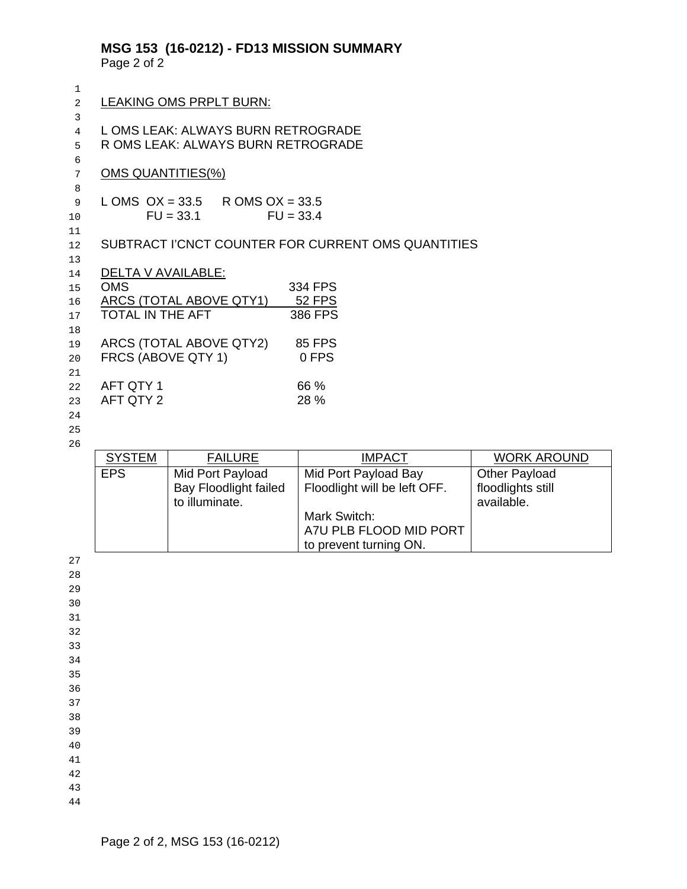# **MSG 153 (16-0212) - FD13 MISSION SUMMARY**

Page 2 of 2

| $\mathbf{1}$   |                                    |                                   |                                                    |                    |  |  |  |  |  |  |  |
|----------------|------------------------------------|-----------------------------------|----------------------------------------------------|--------------------|--|--|--|--|--|--|--|
| $\overline{c}$ |                                    | LEAKING OMS PRPLT BURN:           |                                                    |                    |  |  |  |  |  |  |  |
| 3              |                                    |                                   |                                                    |                    |  |  |  |  |  |  |  |
| $\overline{4}$ |                                    | LOMS LEAK: ALWAYS BURN RETROGRADE |                                                    |                    |  |  |  |  |  |  |  |
| 5              | R OMS LEAK: ALWAYS BURN RETROGRADE |                                   |                                                    |                    |  |  |  |  |  |  |  |
| 6              |                                    |                                   |                                                    |                    |  |  |  |  |  |  |  |
| 7              | <b>OMS QUANTITIES(%)</b>           |                                   |                                                    |                    |  |  |  |  |  |  |  |
| 8<br>9         | LOMS $OX = 33.5$                   | R OMS $OX = 33.5$                 |                                                    |                    |  |  |  |  |  |  |  |
| 10             |                                    | $FU = 33.1$<br>$FU = 33.4$        |                                                    |                    |  |  |  |  |  |  |  |
| 11             |                                    |                                   |                                                    |                    |  |  |  |  |  |  |  |
| 12             |                                    |                                   | SUBTRACT I'CNCT COUNTER FOR CURRENT OMS QUANTITIES |                    |  |  |  |  |  |  |  |
| 13             |                                    |                                   |                                                    |                    |  |  |  |  |  |  |  |
| 14             | <b>DELTA V AVAILABLE:</b>          |                                   |                                                    |                    |  |  |  |  |  |  |  |
| 15             | <b>OMS</b>                         |                                   | 334 FPS                                            |                    |  |  |  |  |  |  |  |
| 16             |                                    | ARCS (TOTAL ABOVE QTY1)           | <b>52 FPS</b>                                      |                    |  |  |  |  |  |  |  |
| 17             | <b>TOTAL IN THE AFT</b>            |                                   | 386 FPS                                            |                    |  |  |  |  |  |  |  |
| 18             |                                    |                                   |                                                    |                    |  |  |  |  |  |  |  |
| 19             |                                    | ARCS (TOTAL ABOVE QTY2)           | <b>85 FPS</b>                                      |                    |  |  |  |  |  |  |  |
| 20             | FRCS (ABOVE QTY 1)                 |                                   | 0 FPS                                              |                    |  |  |  |  |  |  |  |
| 21             |                                    |                                   |                                                    |                    |  |  |  |  |  |  |  |
| 22             | AFT QTY 1<br>AFT QTY 2             |                                   | 66 %<br>28 %                                       |                    |  |  |  |  |  |  |  |
| 23<br>24       |                                    |                                   |                                                    |                    |  |  |  |  |  |  |  |
| 25             |                                    |                                   |                                                    |                    |  |  |  |  |  |  |  |
| 26             |                                    |                                   |                                                    |                    |  |  |  |  |  |  |  |
|                | <b>SYSTEM</b>                      | <b>FAILURE</b>                    | <b>IMPACT</b>                                      | <b>WORK AROUND</b> |  |  |  |  |  |  |  |
|                | <b>EPS</b>                         | Mid Port Payload                  | Mid Port Payload Bay                               | Other Payload      |  |  |  |  |  |  |  |
|                |                                    | <b>Bay Floodlight failed</b>      | Floodlight will be left OFF.                       | floodlights still  |  |  |  |  |  |  |  |
|                |                                    | to illuminate.                    |                                                    | available.         |  |  |  |  |  |  |  |
|                |                                    |                                   | Mark Switch:                                       |                    |  |  |  |  |  |  |  |
|                |                                    |                                   | A7U PLB FLOOD MID PORT                             |                    |  |  |  |  |  |  |  |
|                |                                    |                                   | to prevent turning ON.                             |                    |  |  |  |  |  |  |  |
| 27             |                                    |                                   |                                                    |                    |  |  |  |  |  |  |  |

- 
- 
- 
- 
- 
- 
- 
- 
- 
- 
- 
-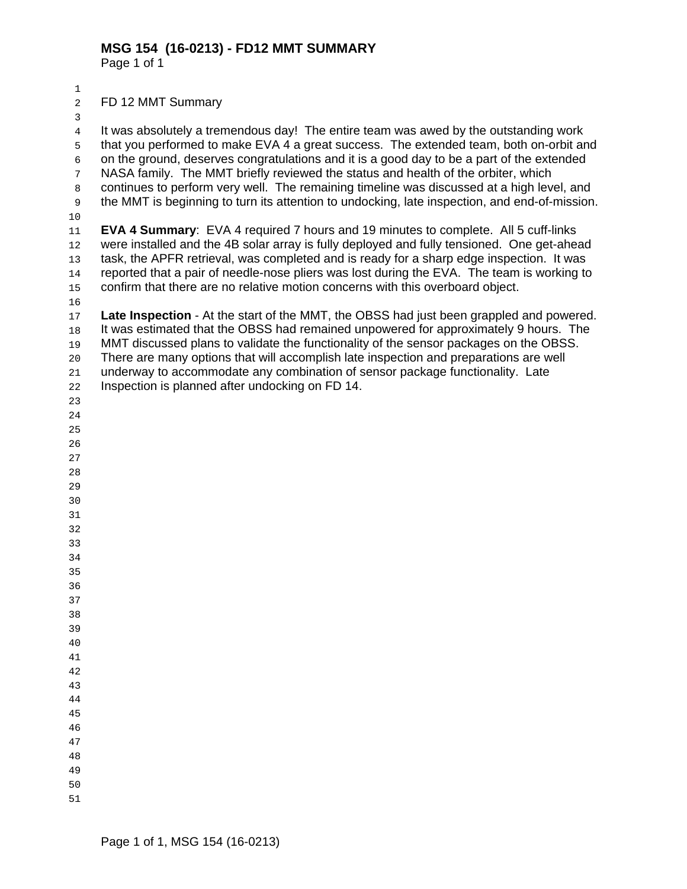Page 1 of 1

- 
- FD 12 MMT Summary

 

 that you performed to make EVA 4 a great success. The extended team, both on-orbit and on the ground, deserves congratulations and it is a good day to be a part of the extended NASA family. The MMT briefly reviewed the status and health of the orbiter, which continues to perform very well. The remaining timeline was discussed at a high level, and the MMT is beginning to turn its attention to undocking, late inspection, and end-of-mission. **EVA 4 Summary**: EVA 4 required 7 hours and 19 minutes to complete. All 5 cuff-links were installed and the 4B solar array is fully deployed and fully tensioned. One get-ahead task, the APFR retrieval, was completed and is ready for a sharp edge inspection. It was reported that a pair of needle-nose pliers was lost during the EVA. The team is working to confirm that there are no relative motion concerns with this overboard object. **Late Inspection** - At the start of the MMT, the OBSS had just been grappled and powered. It was estimated that the OBSS had remained unpowered for approximately 9 hours. The MMT discussed plans to validate the functionality of the sensor packages on the OBSS. There are many options that will accomplish late inspection and preparations are well underway to accommodate any combination of sensor package functionality. Late Inspection is planned after undocking on FD 14.

It was absolutely a tremendous day! The entire team was awed by the outstanding work

- 
- 
- 
-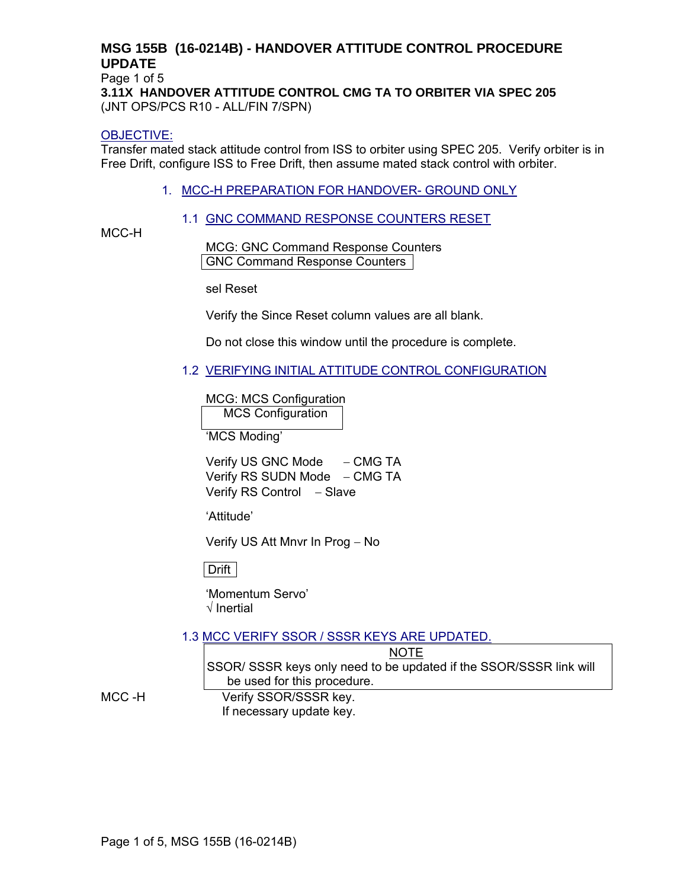# **MSG 155B (16-0214B) - HANDOVER ATTITUDE CONTROL PROCEDURE UPDATE**

Page 1 of 5

**3.11X HANDOVER ATTITUDE CONTROL CMG TA TO ORBITER VIA SPEC 205**  (JNT OPS/PCS R10 - ALL/FIN 7/SPN)

#### OBJECTIVE:

Transfer mated stack attitude control from ISS to orbiter using SPEC 205. Verify orbiter is in Free Drift, configure ISS to Free Drift, then assume mated stack control with orbiter.

1. MCC-H PREPARATION FOR HANDOVER- GROUND ONLY

#### 1.1 GNC COMMAND RESPONSE COUNTERS RESET

MCC-H

MCG: GNC Command Response Counters GNC Command Response Counters

sel Reset

Verify the Since Reset column values are all blank.

Do not close this window until the procedure is complete.

1.2 VERIFYING INITIAL ATTITUDE CONTROL CONFIGURATION

MCG: MCS Configuration

MCS Configuration

'MCS Moding'

Verify US GNC Mode – CMG TA Verify RS SUDN Mode – CMG TA Verify RS Control – Slave

'Attitude'

Verify US Att Mnvr In Prog − No

Drift

'Momentum Servo' √ Inertial

1.3 MCC VERIFY SSOR / SSSR KEYS ARE UPDATED.

NOTE SSOR/ SSSR keys only need to be updated if the SSOR/SSSR link will be used for this procedure.

MCC -H Verify SSOR/SSSR key. If necessary update key.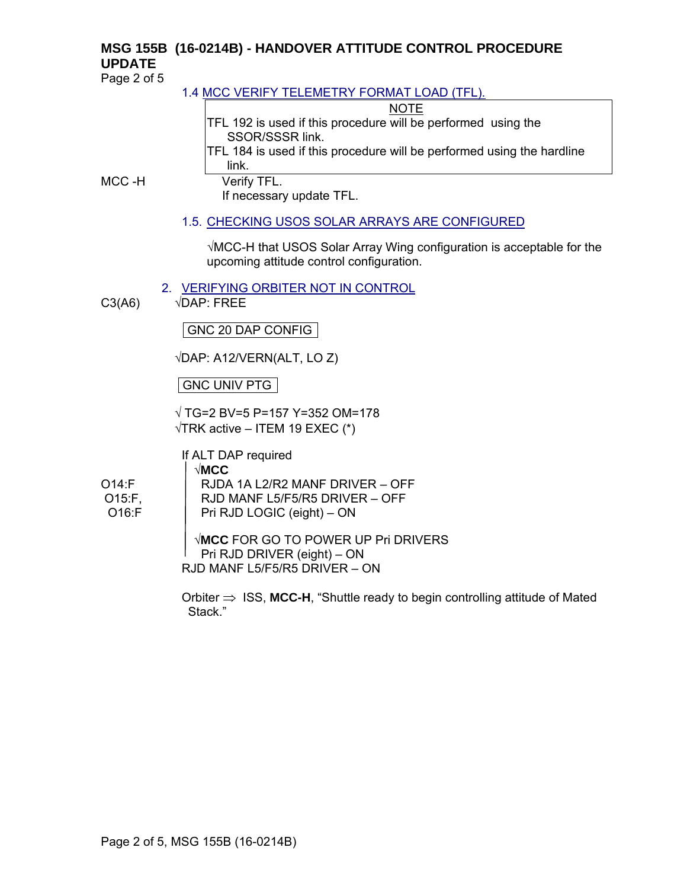# **MSG 155B (16-0214B) - HANDOVER ATTITUDE CONTROL PROCEDURE UPDATE**

Page 2 of 5

# 1.4 MCC VERIFY TELEMETRY FORMAT LOAD (TFL).

#### **NOTE**

TFL 192 is used if this procedure will be performed using the SSOR/SSSR link.

TFL 184 is used if this procedure will be performed using the hardline link.

MCC -H Verify TFL.

If necessary update TFL.

# 1.5. CHECKING USOS SOLAR ARRAYS ARE CONFIGURED

√MCC-H that USOS Solar Array Wing configuration is acceptable for the upcoming attitude control configuration.

2. VERIFYING ORBITER NOT IN CONTROL

 $C3(AB)$   $\sqrt{DAP}$ : FREE

GNC 20 DAP CONFIG

√DAP: A12/VERN(ALT, LO Z)

GNC UNIV PTG

√ TG=2 BV=5 P=157 Y=352 OM=178  $\sqrt{T}$ RK active – ITEM 19 EXEC (\*)

If ALT DAP required √**MCC** O14:F RJDA 1A L2/R2 MANF DRIVER – OFF O15:F, RJD MANF L5/F5/R5 DRIVER – OFF O16:F | Pri RJD LOGIC (eight) – ON

> √**MCC** FOR GO TO POWER UP Pri DRIVERS Pri RJD DRIVER (eight) – ON RJD MANF L5/F5/R5 DRIVER – ON

Orbiter ⇒ ISS, **MCC-H**, "Shuttle ready to begin controlling attitude of Mated Stack."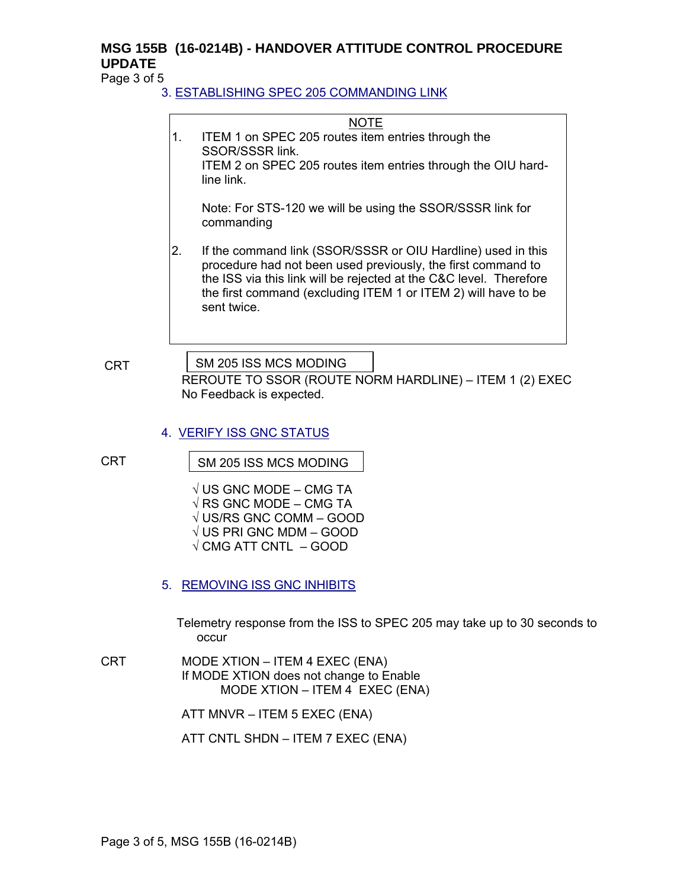# **MSG 155B (16-0214B) - HANDOVER ATTITUDE CONTROL PROCEDURE UPDATE**

Page 3 of 5

# 3. ESTABLISHING SPEC 205 COMMANDING LINK

#### NOTE

1. ITEM 1 on SPEC 205 routes item entries through the SSOR/SSSR link. ITEM 2 on SPEC 205 routes item entries through the OIU hardline link. Note: For STS-120 we will be using the SSOR/SSSR link for commanding 2. If the command link (SSOR/SSSR or OIU Hardline) used in this procedure had not been used previously, the first command to the ISS via this link will be rejected at the C&C level. Therefore the first command (excluding ITEM 1 or ITEM 2) will have to be sent twice.

**CRT** 

SM 205 ISS MCS MODING

REROUTE TO SSOR (ROUTE NORM HARDLINE) – ITEM 1 (2) EXEC No Feedback is expected.

#### 4. VERIFY ISS GNC STATUS

CRT

SM 205 ISS MCS MODING

- $\sqrt{}$  US GNC MODE CMG TA  $\sqrt{RS}$  GNC MODE – CMG TA √ US/RS GNC COMM – GOOD √ US PRI GNC MDM – GOOD  $\sqrt{\rm CMG}$  ATT CNTL – GOOD
- 5. REMOVING ISS GNC INHIBITS

Telemetry response from the ISS to SPEC 205 may take up to 30 seconds to occur

CRT MODE XTION – ITEM 4 EXEC (ENA) If MODE XTION does not change to Enable MODE XTION – ITEM 4 EXEC (ENA)

ATT MNVR – ITEM 5 EXEC (ENA)

ATT CNTL SHDN – ITEM 7 EXEC (ENA)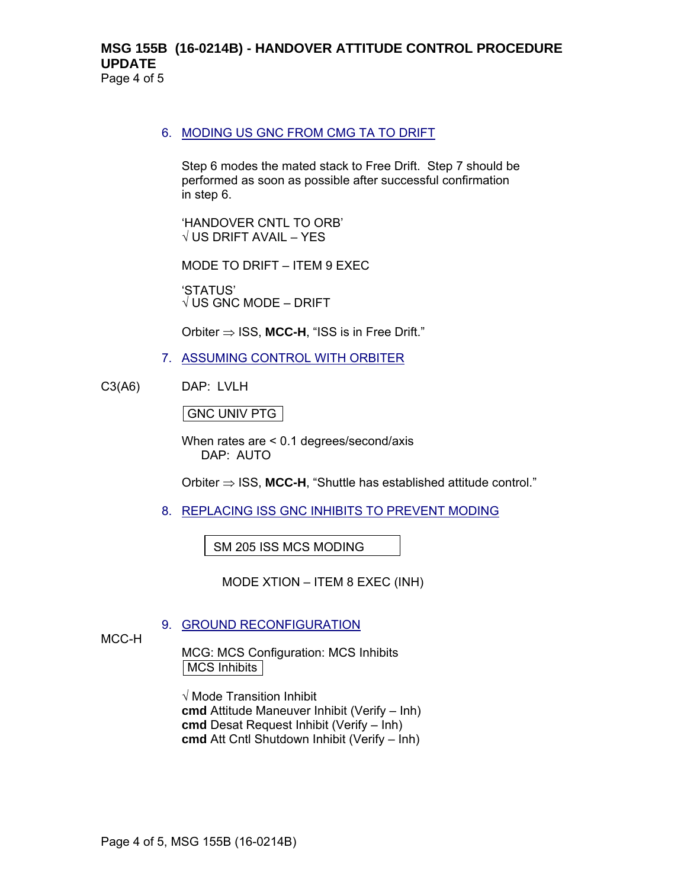#### **MSG 155B (16-0214B) - HANDOVER ATTITUDE CONTROL PROCEDURE UPDATE** Page 4 of 5

#### 6. MODING US GNC FROM CMG TA TO DRIFT

Step 6 modes the mated stack to Free Drift. Step 7 should be performed as soon as possible after successful confirmation in step 6.

'HANDOVER CNTL TO ORB'  $\sqrt{}$  US DRIFT AVAIL – YES

MODE TO DRIFT – ITEM 9 EXEC

'STATUS'  $\sqrt{}$  US GNC MODE – DRIFT

Orbiter ⇒ ISS, **MCC-H**, "ISS is in Free Drift."

- 7. ASSUMING CONTROL WITH ORBITER
- C3(A6) DAP: LVLH

GNC UNIV PTG

l,

When rates are < 0.1 degrees/second/axis DAP: AUTO

Orbiter ⇒ ISS, **MCC-H**, "Shuttle has established attitude control."

8. REPLACING ISS GNC INHIBITS TO PREVENT MODING

SM 205 ISS MCS MODING

MODE XTION – ITEM 8 EXEC (INH)

#### 9. GROUND RECONFIGURATION

MCC-H

MCG: MCS Configuration: MCS Inhibits MCS Inhibits

√ Mode Transition Inhibit **cmd** Attitude Maneuver Inhibit (Verify – Inh) **cmd** Desat Request Inhibit (Verify – Inh) **cmd** Att Cntl Shutdown Inhibit (Verify – Inh)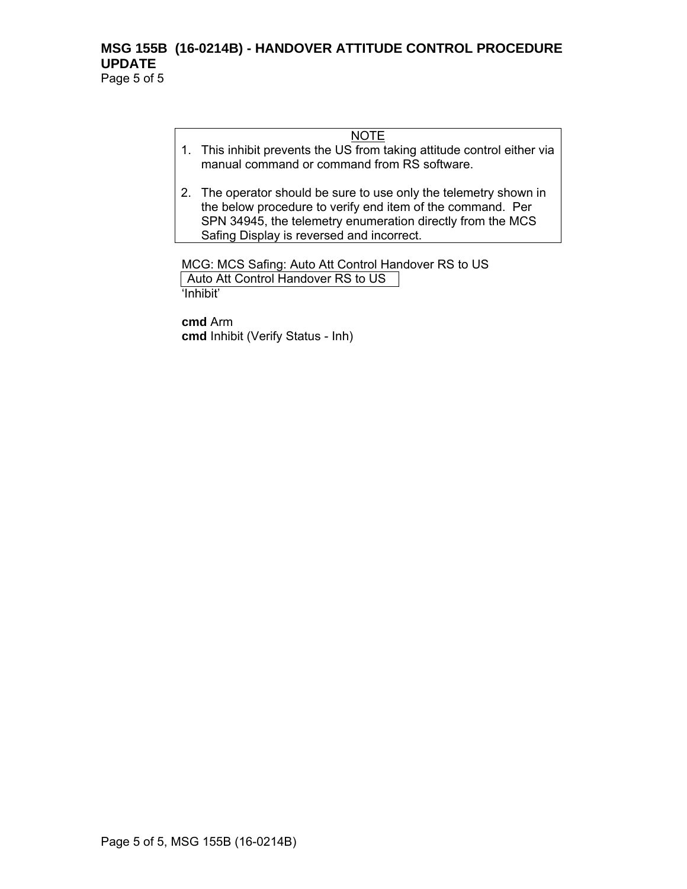#### **MSG 155B (16-0214B) - HANDOVER ATTITUDE CONTROL PROCEDURE UPDATE** Page 5 of 5

NOTE

- 1. This inhibit prevents the US from taking attitude control either via manual command or command from RS software.
- 2. The operator should be sure to use only the telemetry shown in the below procedure to verify end item of the command. Per SPN 34945, the telemetry enumeration directly from the MCS Safing Display is reversed and incorrect.

MCG: MCS Safing: Auto Att Control Handover RS to US Auto Att Control Handover RS to US 'Inhibit'

**cmd** Arm **cmd** Inhibit (Verify Status - Inh)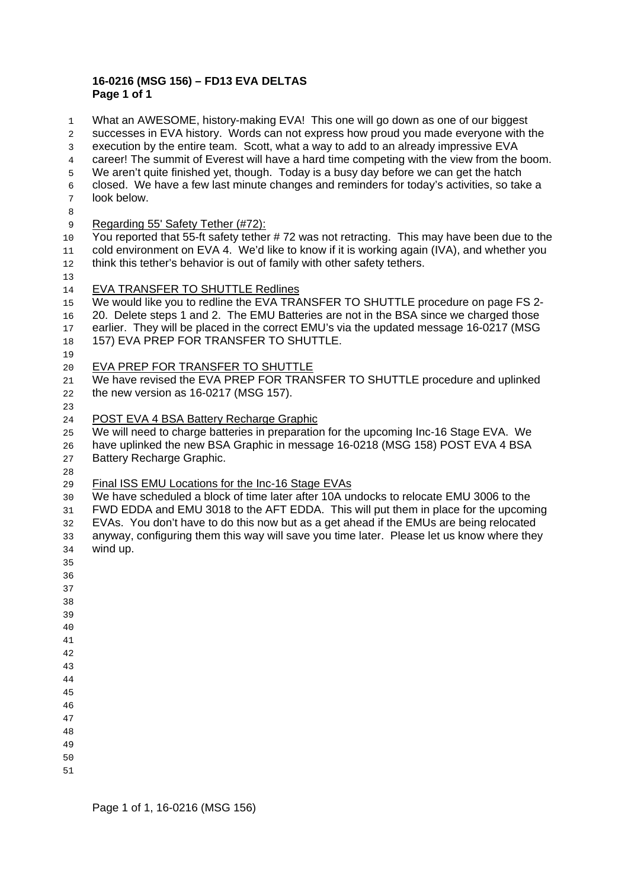#### **16-0216 (MSG 156) – FD13 EVA DELTAS Page 1 of 1**

What an AWESOME, history-making EVA! This one will go down as one of our biggest successes in EVA history. Words can not express how proud you made everyone with the execution by the entire team. Scott, what a way to add to an already impressive EVA career! The summit of Everest will have a hard time competing with the view from the boom. We aren't quite finished yet, though. Today is a busy day before we can get the hatch closed. We have a few last minute changes and reminders for today's activities, so take a look below. 9 Regarding 55' Safety Tether (#72): 10 You reported that 55-ft safety tether #72 was not retracting. This may have been due to the cold environment on EVA 4. We'd like to know if it is working again (IVA), and whether you 12 think this tether's behavior is out of family with other safety tethers. 14 EVA TRANSFER TO SHUTTLE Redlines We would like you to redline the EVA TRANSFER TO SHUTTLE procedure on page FS 2- 20. Delete steps 1 and 2. The EMU Batteries are not in the BSA since we charged those earlier. They will be placed in the correct EMU's via the updated message 16-0217 (MSG 18 157) EVA PREP FOR TRANSFER TO SHUTTLE. EVA PREP FOR TRANSFER TO SHUTTLE 21 We have revised the EVA PREP FOR TRANSFER TO SHUTTLE procedure and uplinked the new version as 16-0217 (MSG 157). POST EVA 4 BSA Battery Recharge Graphic We will need to charge batteries in preparation for the upcoming Inc-16 Stage EVA. We have uplinked the new BSA Graphic in message 16-0218 (MSG 158) POST EVA 4 BSA Battery Recharge Graphic. 29 Final ISS EMU Locations for the Inc-16 Stage EVAs We have scheduled a block of time later after 10A undocks to relocate EMU 3006 to the FWD EDDA and EMU 3018 to the AFT EDDA. This will put them in place for the upcoming EVAs. You don't have to do this now but as a get ahead if the EMUs are being relocated anyway, configuring them this way will save you time later. Please let us know where they wind up.  $\overline{A}$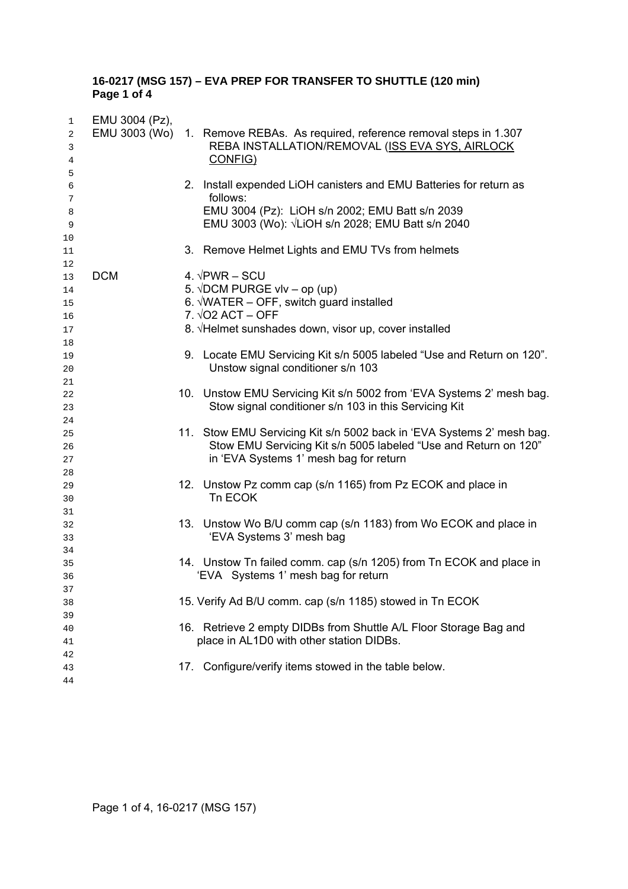#### **16-0217 (MSG 157) – EVA PREP FOR TRANSFER TO SHUTTLE (120 min) Page 1 of 4**

| 1        | EMU 3004 (Pz), |                                                                                                                                          |
|----------|----------------|------------------------------------------------------------------------------------------------------------------------------------------|
| 2        |                | EMU 3003 (Wo) 1. Remove REBAs. As required, reference removal steps in 1.307                                                             |
| 3        |                | REBA INSTALLATION/REMOVAL (ISS EVA SYS, AIRLOCK                                                                                          |
| 4        |                | CONFIG)                                                                                                                                  |
| 5        |                |                                                                                                                                          |
| 6        |                | 2. Install expended LiOH canisters and EMU Batteries for return as                                                                       |
| 7        |                | follows:                                                                                                                                 |
| 8        |                | EMU 3004 (Pz): LiOH s/n 2002; EMU Batt s/n 2039                                                                                          |
| 9        |                | EMU 3003 (Wo): √LiOH s/n 2028; EMU Batt s/n 2040                                                                                         |
| 10       |                |                                                                                                                                          |
| 11       |                | 3. Remove Helmet Lights and EMU TVs from helmets                                                                                         |
| 12       |                |                                                                                                                                          |
| 13       | <b>DCM</b>     | 4. $\sqrt{\text{PWR}}$ – SCU                                                                                                             |
| 14       |                | 5. $\sqrt{DCM}$ PURGE vlv – op (up)                                                                                                      |
| 15       |                | 6. $\sqrt{WATER}$ – OFF, switch guard installed                                                                                          |
| 16       |                | $7. \sqrt{O2}$ ACT - OFF                                                                                                                 |
| 17       |                | 8. √Helmet sunshades down, visor up, cover installed                                                                                     |
| 18       |                |                                                                                                                                          |
| 19       |                | 9. Locate EMU Servicing Kit s/n 5005 labeled "Use and Return on 120".                                                                    |
| 20       |                | Unstow signal conditioner s/n 103                                                                                                        |
| 21       |                |                                                                                                                                          |
| 22       |                | 10. Unstow EMU Servicing Kit s/n 5002 from 'EVA Systems 2' mesh bag.                                                                     |
| 23       |                | Stow signal conditioner s/n 103 in this Servicing Kit                                                                                    |
| 24       |                |                                                                                                                                          |
| 25       |                | 11. Stow EMU Servicing Kit s/n 5002 back in 'EVA Systems 2' mesh bag.<br>Stow EMU Servicing Kit s/n 5005 labeled "Use and Return on 120" |
| 26       |                | in 'EVA Systems 1' mesh bag for return                                                                                                   |
| 27<br>28 |                |                                                                                                                                          |
| 29       |                | 12. Unstow Pz comm cap (s/n 1165) from Pz ECOK and place in                                                                              |
| 30       |                | Tn ECOK                                                                                                                                  |
| 31       |                |                                                                                                                                          |
| 32       |                | 13. Unstow Wo B/U comm cap (s/n 1183) from Wo ECOK and place in                                                                          |
| 33       |                | 'EVA Systems 3' mesh bag                                                                                                                 |
| 34       |                |                                                                                                                                          |
| 35       |                | 14. Unstow Tn failed comm. cap (s/n 1205) from Tn ECOK and place in                                                                      |
| 36       |                | 'EVA Systems 1' mesh bag for return                                                                                                      |
| 37       |                |                                                                                                                                          |
| 38       |                | 15. Verify Ad B/U comm. cap (s/n 1185) stowed in Tn ECOK                                                                                 |
| 39       |                |                                                                                                                                          |
| 40       |                | 16. Retrieve 2 empty DIDBs from Shuttle A/L Floor Storage Bag and                                                                        |
| 41       |                | place in AL1D0 with other station DIDBs.                                                                                                 |
| 42       |                |                                                                                                                                          |
| 43       |                | 17. Configure/verify items stowed in the table below.                                                                                    |
| 44       |                |                                                                                                                                          |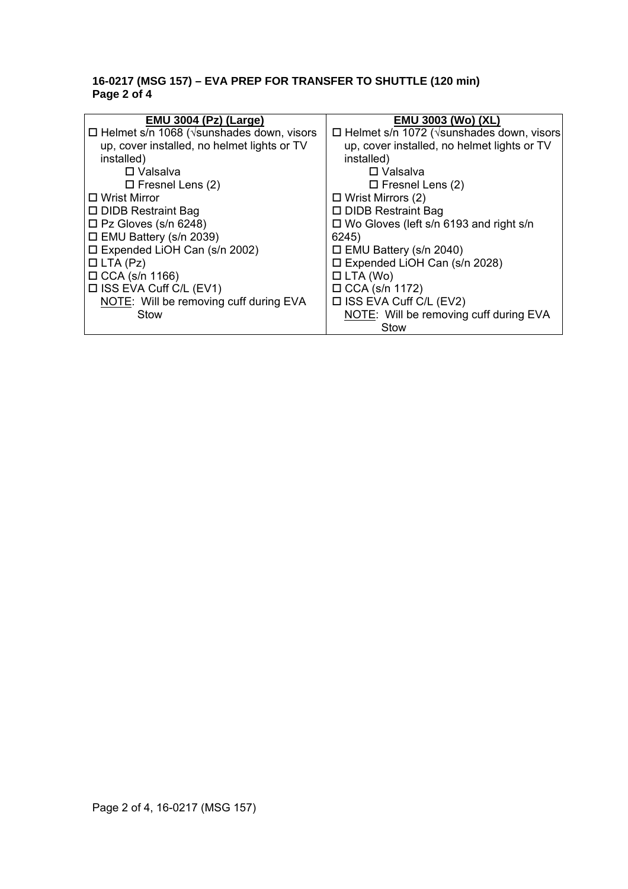#### **16-0217 (MSG 157) – EVA PREP FOR TRANSFER TO SHUTTLE (120 min) Page 2 of 4**

| <b>EMU 3004 (Pz) (Large)</b>                              | <b>EMU 3003 (Wo) (XL)</b>                                 |
|-----------------------------------------------------------|-----------------------------------------------------------|
| $\Box$ Helmet s/n 1068 ( $\sqrt{s}$ unshades down, visors | $\Box$ Helmet s/n 1072 ( $\sqrt{s}$ unshades down, visors |
| up, cover installed, no helmet lights or TV               | up, cover installed, no helmet lights or TV               |
| installed)                                                | installed)                                                |
| $\square$ Valsalva                                        | $\Box$ Valsalva                                           |
| $\Box$ Fresnel Lens (2)                                   | $\Box$ Fresnel Lens (2)                                   |
| □ Wrist Mirror                                            | $\Box$ Wrist Mirrors (2)                                  |
| □ DIDB Restraint Bag                                      | □ DIDB Restraint Bag                                      |
| $\square$ Pz Gloves (s/n 6248)                            | $\Box$ Wo Gloves (left s/n 6193 and right s/n             |
| $\Box$ EMU Battery (s/n 2039)                             | 6245)                                                     |
| $\square$ Expended LiOH Can (s/n 2002)                    | $\Box$ EMU Battery (s/n 2040)                             |
| $\Box$ LTA (Pz)                                           | $\square$ Expended LiOH Can (s/n 2028)                    |
| $\Box$ CCA (s/n 1166)                                     | $\Box$ LTA (Wo)                                           |
| $\Box$ ISS EVA Cuff C/L (EV1)                             | $\Box$ CCA (s/n 1172)                                     |
| NOTE: Will be removing cuff during EVA                    | $\Box$ ISS EVA Cuff C/L (EV2)                             |
| Stow                                                      | NOTE: Will be removing cuff during EVA                    |
|                                                           | Stow                                                      |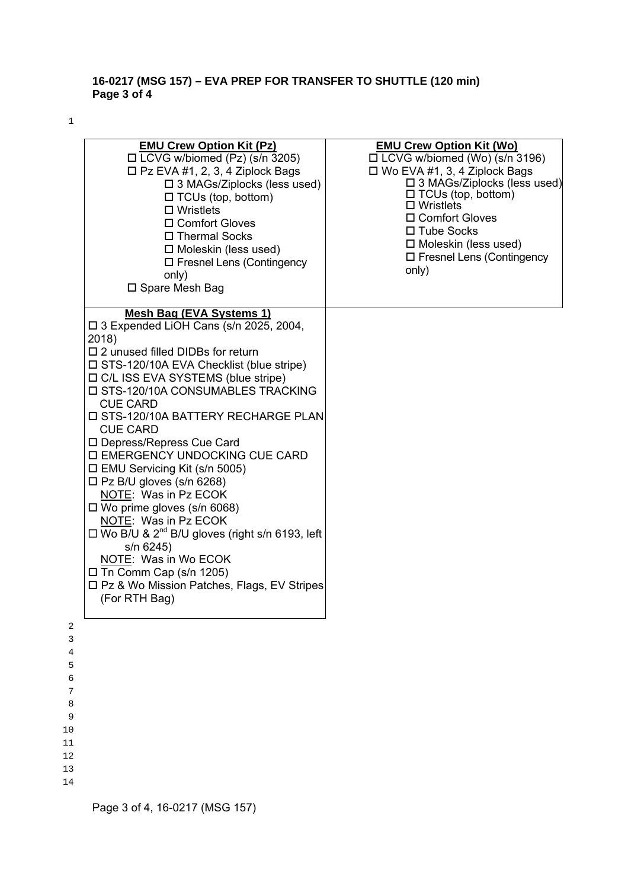### **16-0217 (MSG 157) – EVA PREP FOR TRANSFER TO SHUTTLE (120 min) Page 3 of 4**

1

| <b>EMU Crew Option Kit (Pz)</b><br>$\Box$ LCVG w/biomed (Pz) (s/n 3205)<br>$\square$ Pz EVA #1, 2, 3, 4 Ziplock Bags<br>$\square$ 3 MAGs/Ziplocks (less used)<br>$\Box$ TCUs (top, bottom)<br>$\Box$ Wristlets<br>□ Comfort Gloves<br>□ Thermal Socks<br>$\Box$ Moleskin (less used)<br>$\Box$ Fresnel Lens (Contingency<br>only)<br>□ Spare Mesh Bag                                                                                                                                                                                                                                                                                                                                                                                                                               | <b>EMU Crew Option Kit (Wo)</b><br>$\Box$ LCVG w/biomed (Wo) (s/n 3196)<br>$\Box$ Wo EVA #1, 3, 4 Ziplock Bags<br>$\square$ 3 MAGs/Ziplocks (less used)<br>$\Box$ TCUs (top, bottom)<br>$\square$ Wristlets<br>□ Comfort Gloves<br>$\Box$ Tube Socks<br>$\Box$ Moleskin (less used)<br>$\Box$ Fresnel Lens (Contingency<br>only) |
|-------------------------------------------------------------------------------------------------------------------------------------------------------------------------------------------------------------------------------------------------------------------------------------------------------------------------------------------------------------------------------------------------------------------------------------------------------------------------------------------------------------------------------------------------------------------------------------------------------------------------------------------------------------------------------------------------------------------------------------------------------------------------------------|----------------------------------------------------------------------------------------------------------------------------------------------------------------------------------------------------------------------------------------------------------------------------------------------------------------------------------|
| Mesh Bag (EVA Systems 1)<br>$\square$ 3 Expended LiOH Cans (s/n 2025, 2004,<br>2018)<br>$\square$ 2 unused filled DIDBs for return<br>□ STS-120/10A EVA Checklist (blue stripe)<br>□ C/L ISS EVA SYSTEMS (blue stripe)<br>□ STS-120/10A CONSUMABLES TRACKING<br><b>CUE CARD</b><br>□ STS-120/10A BATTERY RECHARGE PLAN<br><b>CUE CARD</b><br>□ Depress/Repress Cue Card<br>□ EMERGENCY UNDOCKING CUE CARD<br>$\Box$ EMU Servicing Kit (s/n 5005)<br>$\Box$ Pz B/U gloves (s/n 6268)<br>NOTE: Was in Pz ECOK<br>$\Box$ Wo prime gloves (s/n 6068)<br>NOTE: Was in Pz ECOK<br>$\Box$ Wo B/U & 2 <sup>nd</sup> B/U gloves (right s/n 6193, left<br>s/n 6245)<br>NOTE: Was in Wo ECOK<br>$\Box$ Tn Comm Cap (s/n 1205)<br>□ Pz & Wo Mission Patches, Flags, EV Stripes<br>(For RTH Bag) |                                                                                                                                                                                                                                                                                                                                  |
|                                                                                                                                                                                                                                                                                                                                                                                                                                                                                                                                                                                                                                                                                                                                                                                     |                                                                                                                                                                                                                                                                                                                                  |

12 13

14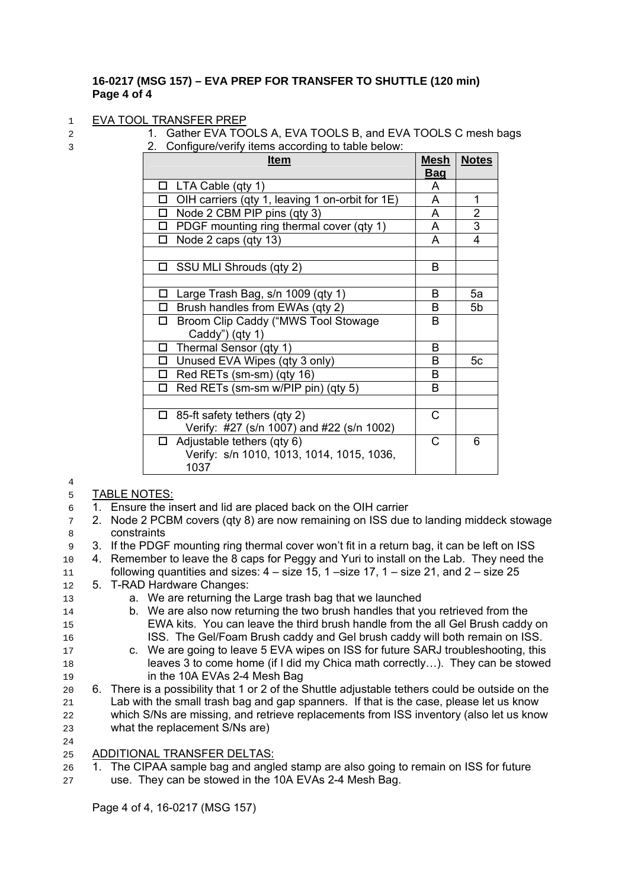#### **16-0217 (MSG 157) – EVA PREP FOR TRANSFER TO SHUTTLE (120 min) Page 4 of 4**

#### 1 EVA TOOL TRANSFER PREP

- 
- 2 1. Gather EVA TOOLS A, EVA TOOLS B, and EVA TOOLS C mesh bags
- 3 2. Configure/verify items according to table below:

| <b>Item</b>                                       | Mesh       | <b>Notes</b>   |
|---------------------------------------------------|------------|----------------|
|                                                   | <b>Bag</b> |                |
| $\Box$ LTA Cable (qty 1)                          | A          |                |
| □ OIH carriers (qty 1, leaving 1 on-orbit for 1E) | A          | 1              |
| $\Box$ Node 2 CBM PIP pins (qty 3)                | A          | $\overline{2}$ |
| $\Box$ PDGF mounting ring thermal cover (qty 1)   | A          | $\overline{3}$ |
| $\Box$ Node 2 caps (qty 13)                       | A          | 4              |
|                                                   |            |                |
| □ SSU MLI Shrouds (qty 2)                         | B          |                |
|                                                   |            |                |
| Large Trash Bag, s/n 1009 (qty 1)<br>□            | B          | 5a             |
| Brush handles from EWAs (qty 2)<br>$\Box$         | B          | 5b             |
| Broom Clip Caddy ("MWS Tool Stowage<br>$\Box$     | B          |                |
| Caddy") (qty 1)                                   |            |                |
| Thermal Sensor (qty 1)<br>П                       | в          |                |
| □ Unused EVA Wipes (qty 3 only)                   | B          | 5c             |
| $\Box$ Red RETs (sm-sm) (qty 16)                  | B          |                |
| Red RETs (sm-sm w/PIP pin) (qty 5)<br>П.          | B          |                |
|                                                   |            |                |
| 85-ft safety tethers (qty 2)<br>□                 | C          |                |
| Verify: #27 (s/n 1007) and #22 (s/n 1002)         |            |                |
| Adjustable tethers (qty 6)<br>$\Box$              | C          | 6              |
| Verify: s/n 1010, 1013, 1014, 1015, 1036,         |            |                |
| 1037                                              |            |                |

#### 5 TABLE NOTES:

4

24

- 6 1. Ensure the insert and lid are placed back on the OIH carrier
- 7 2. Node 2 PCBM covers (qty 8) are now remaining on ISS due to landing middeck stowage 8 constraints
- 9 3. If the PDGF mounting ring thermal cover won't fit in a return bag, it can be left on ISS
- 10 4. Remember to leave the 8 caps for Peggy and Yuri to install on the Lab. They need the
- 11 following quantities and sizes:  $4 size 15$ ,  $1 size 17$ ,  $1 size 21$ , and  $2 size 25$
- 12 5. T-RAD Hardware Changes:
- 13 a. We are returning the Large trash bag that we launched
- 14 b. We are also now returning the two brush handles that you retrieved from the 15 EWA kits. You can leave the third brush handle from the all Gel Brush caddy on 16 ISS. The Gel/Foam Brush caddy and Gel brush caddy will both remain on ISS.
- 17 c. We are going to leave 5 EVA wipes on ISS for future SARJ troubleshooting, this 18 leaves 3 to come home (if I did my Chica math correctly…). They can be stowed 19 in the 10A EVAs 2-4 Mesh Bag
- 20 6. There is a possibility that 1 or 2 of the Shuttle adjustable tethers could be outside on the 21 Lab with the small trash bag and gap spanners. If that is the case, please let us know 22 which S/Ns are missing, and retrieve replacements from ISS inventory (also let us know 23 what the replacement S/Ns are)
- 25 ADDITIONAL TRANSFER DELTAS:
- 26 1. The CIPAA sample bag and angled stamp are also going to remain on ISS for future
- 27 use. They can be stowed in the 10A EVAs 2-4 Mesh Bag.

Page 4 of 4, 16-0217 (MSG 157)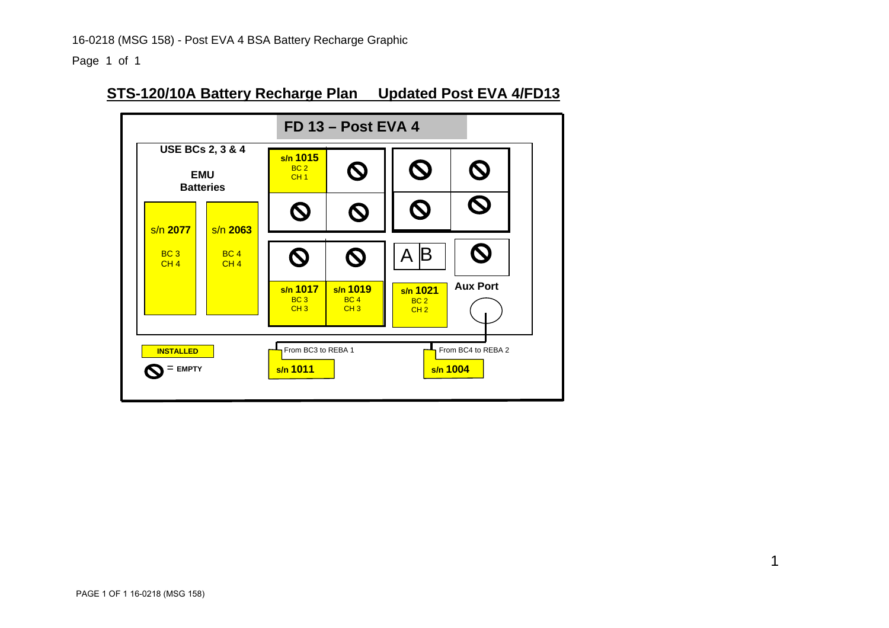Page 1 of 1

# **STS-120/10A Battery Recharge Plan Updated Post EVA 4/FD13**

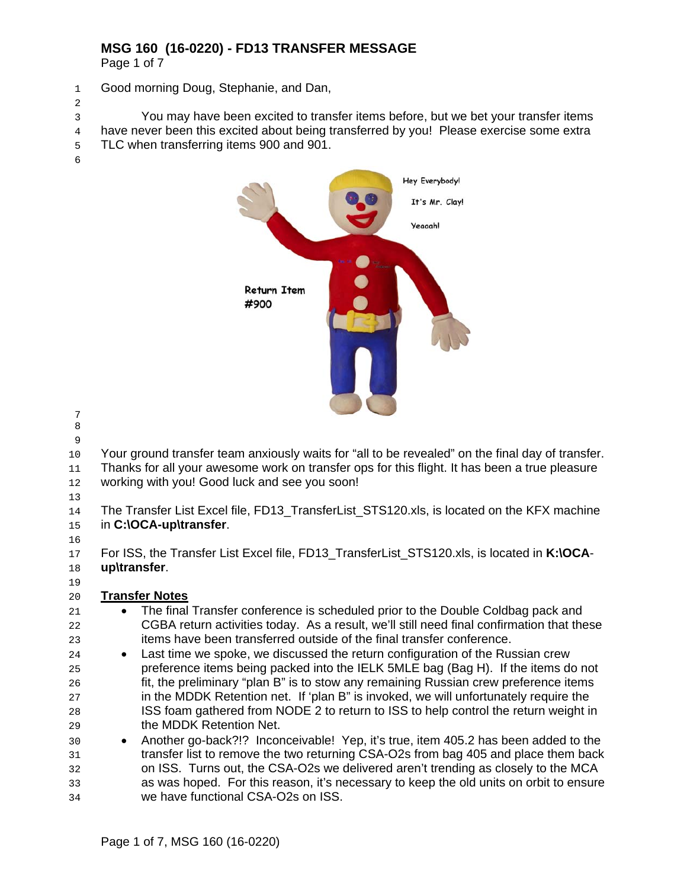# **MSG 160 (16-0220) - FD13 TRANSFER MESSAGE**

Page 1 of 7

Good morning Doug, Stephanie, and Dan,

 $\mathcal{L}$ 

You may have been excited to transfer items before, but we bet your transfer items have never been this excited about being transferred by you! Please exercise some extra TLC when transferring items 900 and 901.



- 
- 

Your ground transfer team anxiously waits for "all to be revealed" on the final day of transfer. Thanks for all your awesome work on transfer ops for this flight. It has been a true pleasure

- 12 working with you! Good luck and see you soon!
- 

14 The Transfer List Excel file, FD13 TransferList STS120.xls, is located on the KFX machine in **C:\OCA-up\transfer**.

For ISS, the Transfer List Excel file, FD13\_TransferList\_STS120.xls, is located in **K:\OCA**-**up\transfer**.

# **Transfer Notes**

- The final Transfer conference is scheduled prior to the Double Coldbag pack and CGBA return activities today. As a result, we'll still need final confirmation that these items have been transferred outside of the final transfer conference.
- Last time we spoke, we discussed the return configuration of the Russian crew preference items being packed into the IELK 5MLE bag (Bag H). If the items do not fit, the preliminary "plan B" is to stow any remaining Russian crew preference items in the MDDK Retention net. If 'plan B" is invoked, we will unfortunately require the ISS foam gathered from NODE 2 to return to ISS to help control the return weight in the MDDK Retention Net.
- Another go-back?!? Inconceivable! Yep, it's true, item 405.2 has been added to the transfer list to remove the two returning CSA-O2s from bag 405 and place them back on ISS. Turns out, the CSA-O2s we delivered aren't trending as closely to the MCA as was hoped. For this reason, it's necessary to keep the old units on orbit to ensure we have functional CSA-O2s on ISS.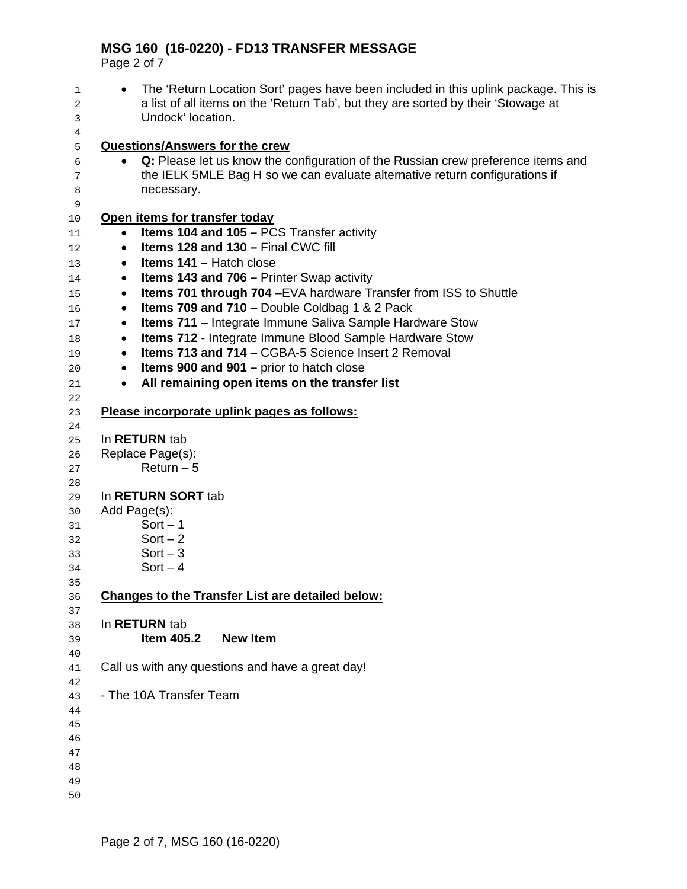# **MSG 160 (16-0220) - FD13 TRANSFER MESSAGE**

Page 2 of 7

• The 'Return Location Sort' pages have been included in this uplink package. This is a list of all items on the 'Return Tab', but they are sorted by their 'Stowage at Undock' location. **Questions/Answers for the crew** • **Q:** Please let us know the configuration of the Russian crew preference items and the IELK 5MLE Bag H so we can evaluate alternative return configurations if 8 necessary. **Open items for transfer today** • **Items 104 and 105 –** PCS Transfer activity • **Items 128 and 130 –** Final CWC fill • **Items 141 –** Hatch close • **Items 143 and 706 –** Printer Swap activity • **Items 701 through 704** –EVA hardware Transfer from ISS to Shuttle • **Items 709 and 710** – Double Coldbag 1 & 2 Pack • **Items 711** – Integrate Immune Saliva Sample Hardware Stow • **Items 712** - Integrate Immune Blood Sample Hardware Stow • **Items 713 and 714** – CGBA-5 Science Insert 2 Removal • **Items 900 and 901 –** prior to hatch close • **All remaining open items on the transfer list Please incorporate uplink pages as follows:** In **RETURN** tab Replace Page(s): Return – 5 In **RETURN SORT** tab Add Page(s): Sort – 1 Sort – 2 Sort – 3 Sort – 4 **Changes to the Transfer List are detailed below:** In **RETURN** tab **Item 405.2 New Item**  Call us with any questions and have a great day! - The 10A Transfer Team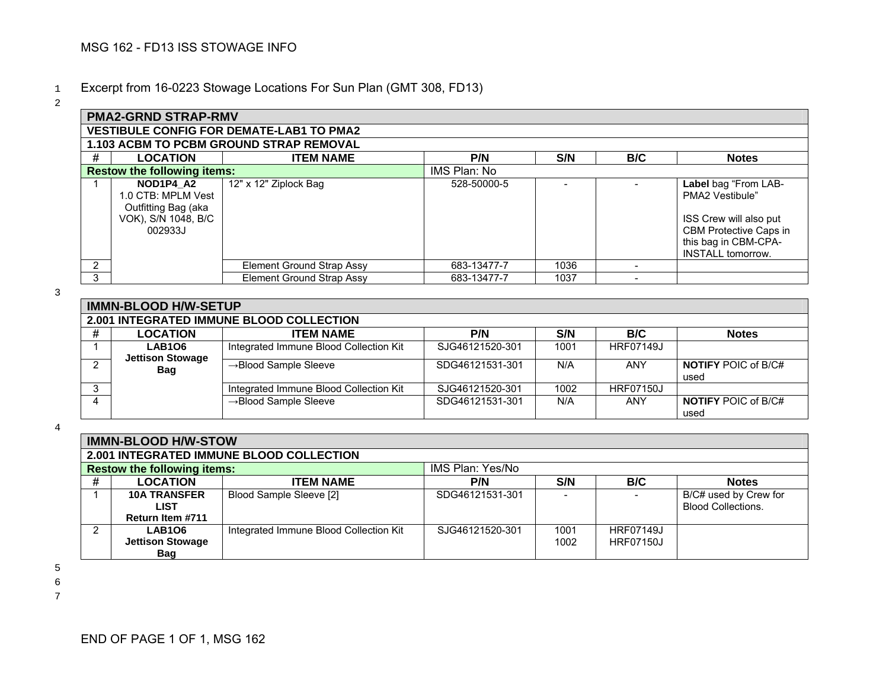# <sup>1</sup>Excerpt from 16-0223 Stowage Locations For Sun Plan (GMT 308, FD13)

2

|                                                | <b>PMA2-GRND STRAP-RMV</b>                                                               |                                  |              |      |     |                                                                                                                                                 |  |  |  |  |  |
|------------------------------------------------|------------------------------------------------------------------------------------------|----------------------------------|--------------|------|-----|-------------------------------------------------------------------------------------------------------------------------------------------------|--|--|--|--|--|
|                                                | <b>VESTIBULE CONFIG FOR DEMATE-LAB1 TO PMA2</b>                                          |                                  |              |      |     |                                                                                                                                                 |  |  |  |  |  |
| <b>1.103 ACBM TO PCBM GROUND STRAP REMOVAL</b> |                                                                                          |                                  |              |      |     |                                                                                                                                                 |  |  |  |  |  |
| #                                              | <b>LOCATION</b>                                                                          | <b>ITEM NAME</b>                 | P/N          | S/N  | B/C | <b>Notes</b>                                                                                                                                    |  |  |  |  |  |
|                                                | <b>Restow the following items:</b>                                                       |                                  | IMS Plan: No |      |     |                                                                                                                                                 |  |  |  |  |  |
|                                                | NOD1P4 A2<br>1.0 CTB: MPLM Vest<br>Outfitting Bag (aka<br>VOK), S/N 1048, B/C<br>002933J | 12" x 12" Ziplock Bag            | 528-50000-5  |      |     | Label bag "From LAB-<br>PMA2 Vestibule"<br>ISS Crew will also put<br>CBM Protective Caps in<br>this bag in CBM-CPA-<br><b>INSTALL tomorrow.</b> |  |  |  |  |  |
| 2                                              |                                                                                          | Element Ground Strap Assy        | 683-13477-7  | 1036 |     |                                                                                                                                                 |  |  |  |  |  |
| 3                                              |                                                                                          | <b>Element Ground Strap Assy</b> | 683-13477-7  | 1037 |     |                                                                                                                                                 |  |  |  |  |  |

3

| <b>IMMN-BLOOD H/W-SETUP</b>              |                                        |                 |      |                  |                                    |  |  |  |
|------------------------------------------|----------------------------------------|-----------------|------|------------------|------------------------------------|--|--|--|
| 2.001 INTEGRATED IMMUNE BLOOD COLLECTION |                                        |                 |      |                  |                                    |  |  |  |
| <b>LOCATION</b>                          | <b>ITEM NAME</b>                       | P/N             | S/N  | B/C              | <b>Notes</b>                       |  |  |  |
| <b>LAB106</b><br><b>Jettison Stowage</b> | Integrated Immune Blood Collection Kit | SJG46121520-301 | 1001 | <b>HRF07149J</b> |                                    |  |  |  |
| <b>Bag</b>                               | $\rightarrow$ Blood Sample Sleeve      | SDG46121531-301 | N/A  | ANY              | <b>NOTIFY POIC of B/C#</b><br>used |  |  |  |
|                                          | Integrated Immune Blood Collection Kit | SJG46121520-301 | 1002 | <b>HRF07150J</b> |                                    |  |  |  |
|                                          | $\rightarrow$ Blood Sample Sleeve      | SDG46121531-301 | N/A  | ANY              | <b>NOTIFY POIC of B/C#</b><br>used |  |  |  |

4

|   | <b>IMMN-BLOOD H/W-STOW</b>         |                                          |                  |      |                  |                                                    |  |  |  |
|---|------------------------------------|------------------------------------------|------------------|------|------------------|----------------------------------------------------|--|--|--|
|   |                                    | 2.001 INTEGRATED IMMUNE BLOOD COLLECTION |                  |      |                  |                                                    |  |  |  |
|   | <b>Restow the following items:</b> |                                          | IMS Plan: Yes/No |      |                  |                                                    |  |  |  |
| # | <b>LOCATION</b>                    | <b>ITEM NAME</b>                         | P/N              | S/N  | B/C              | <b>Notes</b>                                       |  |  |  |
|   | <b>10A TRANSFER</b><br>LIST        | Blood Sample Sleeve [2]                  | SDG46121531-301  |      |                  | B/C# used by Crew for<br><b>Blood Collections.</b> |  |  |  |
|   | Return Item #711                   |                                          |                  |      |                  |                                                    |  |  |  |
| 2 | <b>LAB106</b>                      | Integrated Immune Blood Collection Kit   | SJG46121520-301  | 1001 | <b>HRF07149J</b> |                                                    |  |  |  |
|   | <b>Jettison Stowage</b>            |                                          |                  | 1002 | <b>HRF07150J</b> |                                                    |  |  |  |
|   | Bag                                |                                          |                  |      |                  |                                                    |  |  |  |

5

6 7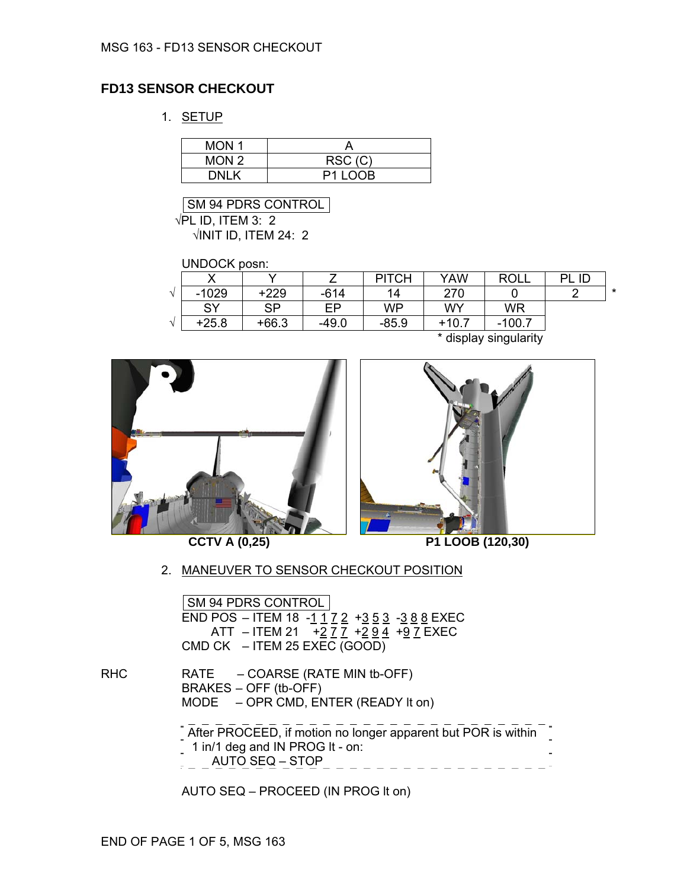# **FD13 SENSOR CHECKOUT**

1. SETUP

| MON <sub>1</sub> |         |
|------------------|---------|
| MON <sub>2</sub> | RSC(C)  |
| DNI K            | P1 LOOB |

SM 94 PDRS CONTROL  $\sqrt{P}$ L ID, ITEM 3: 2  $\sqrt{1}$ NIT ID, ITEM 24: 2

UNDOCK posn:

|        |         |           |         | <b>PITCH</b> | YAW     | <b>ROLL</b> | ID<br>DΙ |         |
|--------|---------|-----------|---------|--------------|---------|-------------|----------|---------|
| $\sim$ | $-1029$ | $+229$    | $-614$  | 14           | 270     |             | ◠        | $\star$ |
|        | SY      | <b>SP</b> | FP.     | WP           | WY      | WR          |          |         |
| $\sim$ | $+25.8$ | $+66.3$   | $-49.0$ | $-85.9$      | $+10.7$ | $-100.7$    |          |         |
|        |         |           |         |              | .       | .<br>. .    |          |         |

\* display singularity





**CCTV A (0,25) P1 LOOB (120,30)** 

#### 2. MANEUVER TO SENSOR CHECKOUT POSITION

SM 94 PDRS CONTROL END POS – ITEM 18 -<u>1 1 7 2</u> +<u>3 5 3</u> -<u>3 8 8</u> EXEC ATT – ITEM 21 + <u>2 7 7 + 2 9 4</u> + <u>9</u> 7 EXEC CMD CK – ITEM 25 EXEC (GOOD)

RHC RATE – COARSE (RATE MIN tb-OFF) BRAKES – OFF (tb-OFF) MODE – OPR CMD, ENTER (READY It on)

> After PROCEED, if motion no longer apparent but POR is within  $\frac{1}{2}$  1 in/1 deg and IN PROG It - on:  $\frac{1}{2}$  AUTO SEQ – STOP\_ \_ \_ \_ \_ \_ \_ \_ \_ \_ \_ \_ \_ \_

AUTO SEQ – PROCEED (IN PROG lt on)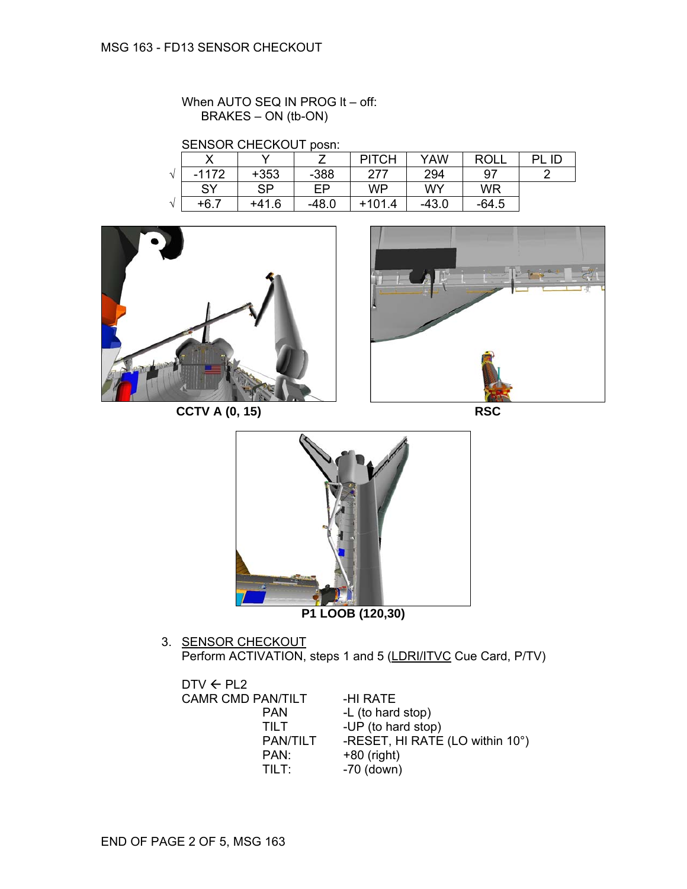When AUTO SEQ IN PROG It - off: BRAKES – ON (tb-ON)

SENSOR CHECKOUT posn:

|          | v       |        |         | ITCH<br>וס | YAW     | <b>ROLL</b> | ID |
|----------|---------|--------|---------|------------|---------|-------------|----|
| $\Delta$ | $-1172$ | $+353$ | $-388$  | 277        | 294     | 97          |    |
|          | SY      | SP     | FP      | <b>WP</b>  | WY      | <b>WR</b>   |    |
| 4        | $+6.7$  | +41.6  | $-48.0$ | $+101.4$   | $-43.0$ | $-64.5$     |    |



**CCTV A (0, 15) RSC** 





3. <u>SENSOR CHECKOUT</u> Perform ACTIVATION, steps 1 and 5 (LDRI/ITVC Cue Card, P/TV)

| $DTV \leftarrow PL2$     |                 |                                 |
|--------------------------|-----------------|---------------------------------|
| <b>CAMR CMD PAN/TILT</b> |                 | -HI RATE                        |
| <b>PAN</b>               |                 | -L (to hard stop)               |
| TII T                    |                 | -UP (to hard stop)              |
|                          | <b>PAN/TILT</b> | -RESET, HI RATE (LO within 10°) |
|                          | PAN:            | $+80$ (right)                   |
|                          | TILT:           | $-70$ (down)                    |
|                          |                 |                                 |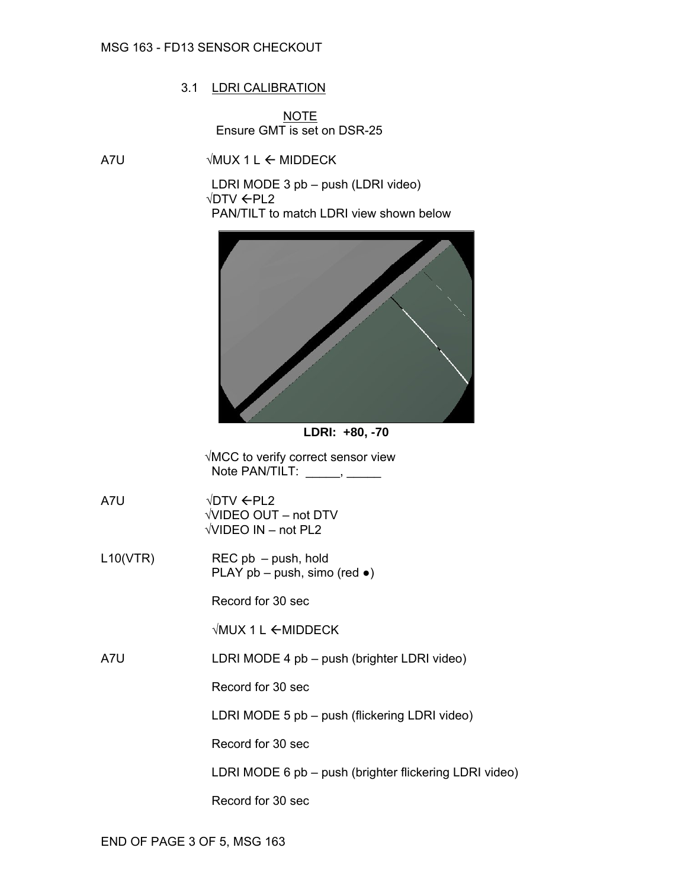#### MSG 163 - FD13 SENSOR CHECKOUT

## 3.1 LDRI CALIBRATION

**NOTE** Ensure GMT is set on DSR-25

 $\triangle$  A7U  $\triangle$  MUX 1 L  $\triangle$  MIDDECK

LDRI MODE 3 pb – push (LDRI video) √DTV ←PL2 PAN/TILT to match LDRI view shown below





√MCC to verify correct sensor view Note PAN/TILT: \_\_\_\_\_\_, \_\_\_\_

 $\sqrt{DTV}$   $\leftarrow$  PL2 √VIDEO OUT – not DTV √VIDEO IN – not PL2

L10(VTR) REC pb – push, hold PLAY  $pb - push$ , simo (red  $\bullet$ )

Record for 30 sec

 $\sqrt{MUX}$  1 L  $\leftarrow$  MIDDECK

A7U LDRI MODE 4 pb – push (brighter LDRI video)

Record for 30 sec

LDRI MODE 5 pb – push (flickering LDRI video)

Record for 30 sec

LDRI MODE 6 pb – push (brighter flickering LDRI video)

Record for 30 sec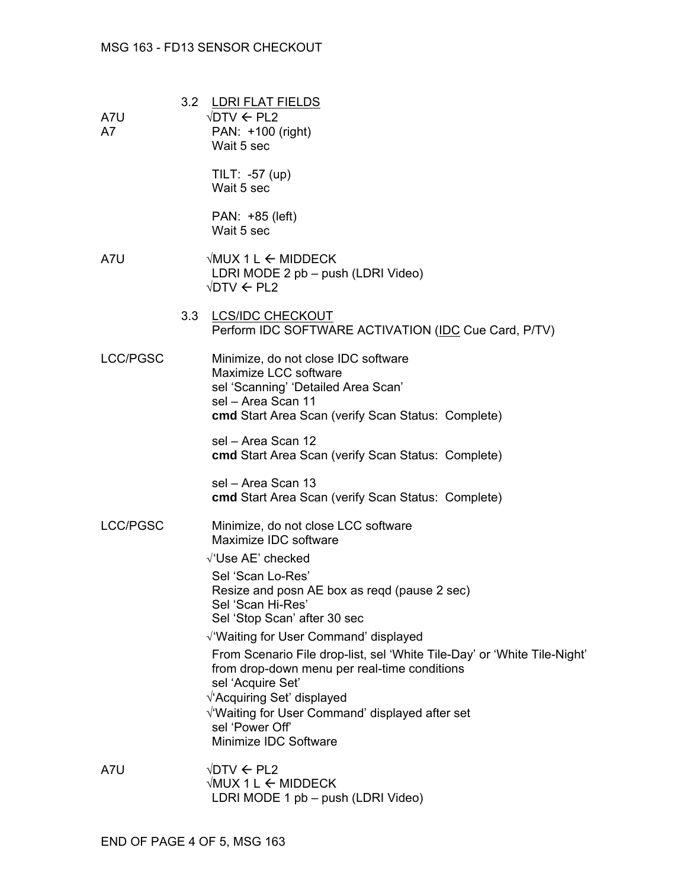# MSG 163 - FD13 SENSOR CHECKOUT

| A7U<br>A7       | 3.2 LDRI FLAT FIELDS<br>$\sqrt{DTV}$ $\leftarrow$ PL2<br>PAN: +100 (right)<br>Wait 5 sec                                                                                                                                                                                             |
|-----------------|--------------------------------------------------------------------------------------------------------------------------------------------------------------------------------------------------------------------------------------------------------------------------------------|
|                 | $TLT: -57 (up)$<br>Wait 5 sec                                                                                                                                                                                                                                                        |
|                 | PAN: +85 (left)<br>Wait 5 sec                                                                                                                                                                                                                                                        |
| A7U             | $\forall$ MUX 1 L $\leftarrow$ MIDDECK<br>LDRI MODE 2 pb - push (LDRI Video)<br>$\sqrt{DTV}$ $\leftarrow$ PL2                                                                                                                                                                        |
|                 | 3.3 LCS/IDC CHECKOUT<br>Perform IDC SOFTWARE ACTIVATION (IDC Cue Card, P/TV)                                                                                                                                                                                                         |
| <b>LCC/PGSC</b> | Minimize, do not close IDC software<br>Maximize LCC software<br>sel 'Scanning' 'Detailed Area Scan'<br>sel - Area Scan 11<br>cmd Start Area Scan (verify Scan Status: Complete)                                                                                                      |
|                 | sel - Area Scan 12<br><b>cmd</b> Start Area Scan (verify Scan Status: Complete)                                                                                                                                                                                                      |
|                 | sel - Area Scan 13<br>cmd Start Area Scan (verify Scan Status: Complete)                                                                                                                                                                                                             |
| <b>LCC/PGSC</b> | Minimize, do not close LCC software<br>Maximize IDC software                                                                                                                                                                                                                         |
|                 | √'Use AE' checked<br>Sel 'Scan Lo-Res'<br>Resize and posn AE box as regd (pause 2 sec)<br>Sel 'Scan Hi-Res'<br>Sel 'Stop Scan' after 30 sec<br>$\sqrt{ }$ Waiting for User Command' displayed                                                                                        |
|                 | From Scenario File drop-list, sel 'White Tile-Day' or 'White Tile-Night'<br>from drop-down menu per real-time conditions<br>sel 'Acquire Set'<br>√'Acquiring Set' displayed<br>$\sqrt{\ }$ Waiting for User Command' displayed after set<br>sel 'Power Off'<br>Minimize IDC Software |
| A7U             | $\sqrt{DTV}$ $\leftarrow$ PL2<br>$\forall$ MUX 1 L $\leftarrow$ MIDDECK                                                                                                                                                                                                              |

LDRI MODE 1 pb – push (LDRI Video)